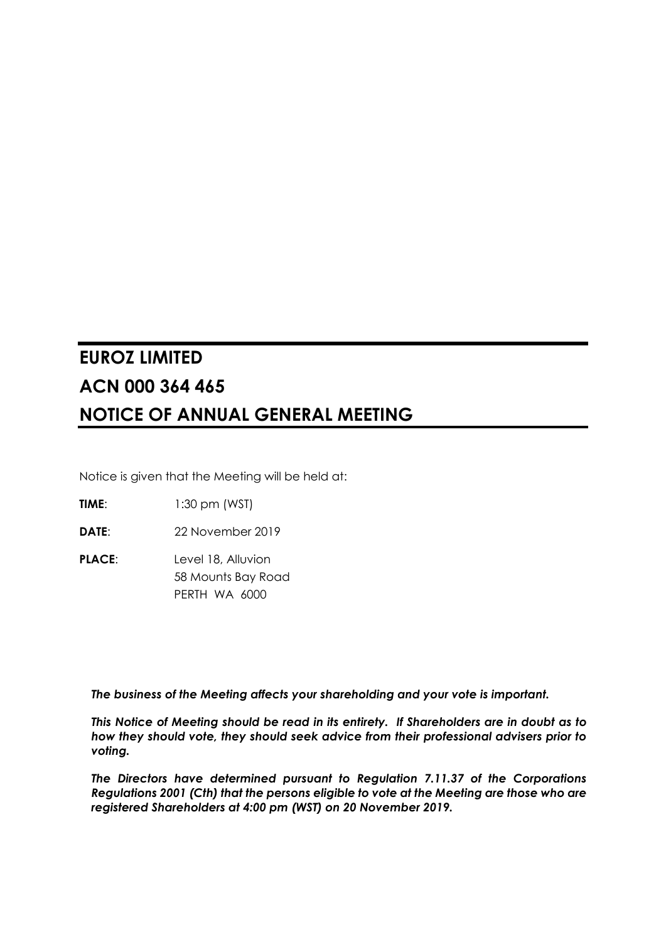# **EUROZ LIMITED ACN 000 364 465 NOTICE OF ANNUAL GENERAL MEETING**

Notice is given that the Meeting will be held at:

**TIME:** 1:30 pm (WST)

**DATE**: 22 November 2019

**PLACE:** Level 18, Alluvion 58 Mounts Bay Road PERTH WA 6000

*The business of the Meeting affects your shareholding and your vote is important.* 

*This Notice of Meeting should be read in its entirety. If Shareholders are in doubt as to how they should vote, they should seek advice from their professional advisers prior to voting.* 

*The Directors have determined pursuant to Regulation 7.11.37 of the Corporations Regulations 2001 (Cth) that the persons eligible to vote at the Meeting are those who are registered Shareholders at 4:00 pm (WST) on 20 November 2019.*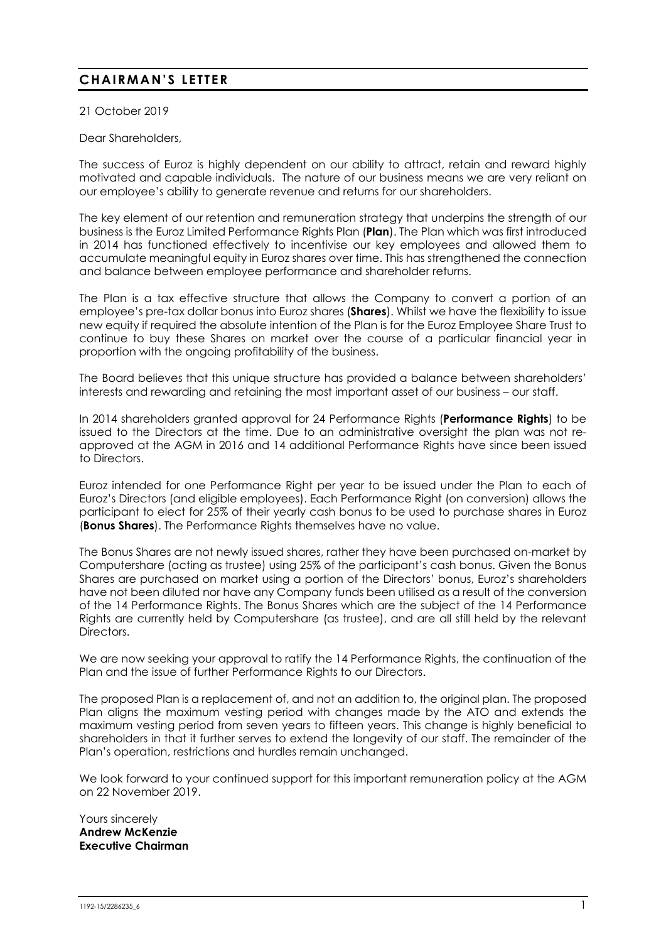# **CHAIRMAN'S LETTER**

21 October 2019

Dear Shareholders,

The success of Euroz is highly dependent on our ability to attract, retain and reward highly motivated and capable individuals. The nature of our business means we are very reliant on our employee's ability to generate revenue and returns for our shareholders.

The key element of our retention and remuneration strategy that underpins the strength of our business is the Euroz Limited Performance Rights Plan (**Plan**). The Plan which was first introduced in 2014 has functioned effectively to incentivise our key employees and allowed them to accumulate meaningful equity in Euroz shares over time. This has strengthened the connection and balance between employee performance and shareholder returns.

The Plan is a tax effective structure that allows the Company to convert a portion of an employee's pre-tax dollar bonus into Euroz shares (**Shares**). Whilst we have the flexibility to issue new equity if required the absolute intention of the Plan is for the Euroz Employee Share Trust to continue to buy these Shares on market over the course of a particular financial year in proportion with the ongoing profitability of the business.

The Board believes that this unique structure has provided a balance between shareholders' interests and rewarding and retaining the most important asset of our business – our staff.

In 2014 shareholders granted approval for 24 Performance Rights (**Performance Rights**) to be issued to the Directors at the time. Due to an administrative oversight the plan was not reapproved at the AGM in 2016 and 14 additional Performance Rights have since been issued to Directors.

Euroz intended for one Performance Right per year to be issued under the Plan to each of Euroz's Directors (and eligible employees). Each Performance Right (on conversion) allows the participant to elect for 25% of their yearly cash bonus to be used to purchase shares in Euroz (**Bonus Shares**). The Performance Rights themselves have no value.

The Bonus Shares are not newly issued shares, rather they have been purchased on-market by Computershare (acting as trustee) using 25% of the participant's cash bonus. Given the Bonus Shares are purchased on market using a portion of the Directors' bonus, Euroz's shareholders have not been diluted nor have any Company funds been utilised as a result of the conversion of the 14 Performance Rights. The Bonus Shares which are the subject of the 14 Performance Rights are currently held by Computershare (as trustee), and are all still held by the relevant Directors.

We are now seeking your approval to ratify the 14 Performance Rights, the continuation of the Plan and the issue of further Performance Rights to our Directors.

The proposed Plan is a replacement of, and not an addition to, the original plan. The proposed Plan aligns the maximum vesting period with changes made by the ATO and extends the maximum vesting period from seven years to fifteen years. This change is highly beneficial to shareholders in that it further serves to extend the longevity of our staff. The remainder of the Plan's operation, restrictions and hurdles remain unchanged.

We look forward to your continued support for this important remuneration policy at the AGM on 22 November 2019.

Yours sincerely **Andrew McKenzie Executive Chairman**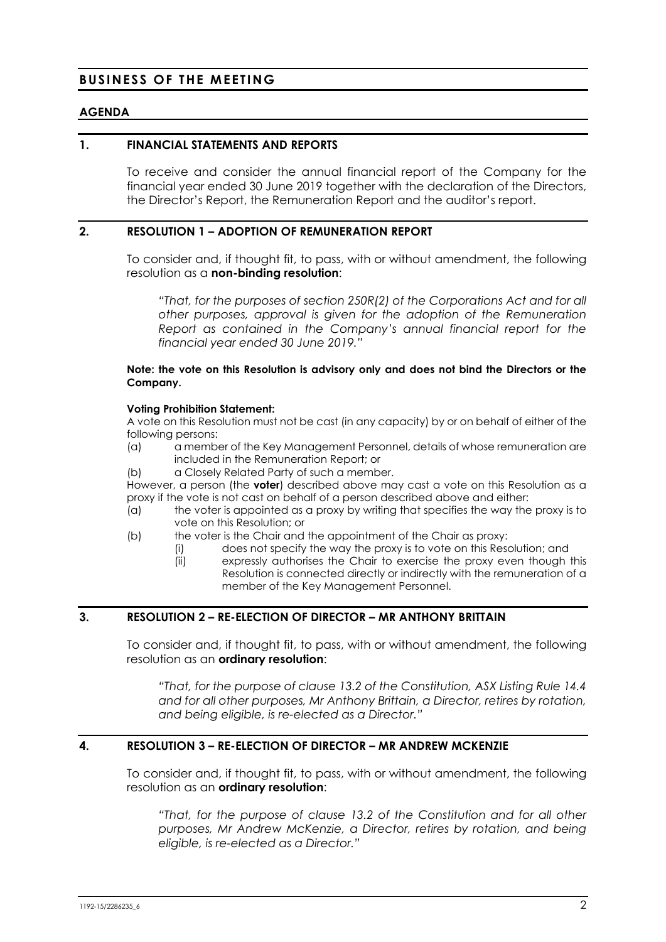### **BUSINESS OF THE MEETING**

#### **AGENDA**

#### **1. FINANCIAL STATEMENTS AND REPORTS**

To receive and consider the annual financial report of the Company for the financial year ended 30 June 2019 together with the declaration of the Directors, the Director's Report, the Remuneration Report and the auditor's report.

#### **2. RESOLUTION 1 – ADOPTION OF REMUNERATION REPORT**

To consider and, if thought fit, to pass, with or without amendment, the following resolution as a **non-binding resolution**:

*"That, for the purposes of section 250R(2) of the Corporations Act and for all other purposes, approval is given for the adoption of the Remuneration Report as contained in the Company's annual financial report for the financial year ended 30 June 2019."* 

#### **Note: the vote on this Resolution is advisory only and does not bind the Directors or the Company.**

#### **Voting Prohibition Statement:**

A vote on this Resolution must not be cast (in any capacity) by or on behalf of either of the following persons:

- (a) a member of the Key Management Personnel, details of whose remuneration are included in the Remuneration Report; or
- (b) a Closely Related Party of such a member.

However, a person (the **voter**) described above may cast a vote on this Resolution as a proxy if the vote is not cast on behalf of a person described above and either:

- (a) the voter is appointed as a proxy by writing that specifies the way the proxy is to vote on this Resolution; or
- (b) the voter is the Chair and the appointment of the Chair as proxy:
	- (i) does not specify the way the proxy is to vote on this Resolution; and
	- (ii) expressly authorises the Chair to exercise the proxy even though this Resolution is connected directly or indirectly with the remuneration of a member of the Key Management Personnel.

#### **3. RESOLUTION 2 – RE-ELECTION OF DIRECTOR – MR ANTHONY BRITTAIN**

To consider and, if thought fit, to pass, with or without amendment, the following resolution as an **ordinary resolution**:

*"That, for the purpose of clause 13.2 of the Constitution, ASX Listing Rule 14.4 and for all other purposes, Mr Anthony Brittain, a Director, retires by rotation, and being eligible, is re-elected as a Director."* 

#### **4. RESOLUTION 3 – RE-ELECTION OF DIRECTOR – MR ANDREW MCKENZIE**

To consider and, if thought fit, to pass, with or without amendment, the following resolution as an **ordinary resolution**:

*"That, for the purpose of clause 13.2 of the Constitution and for all other purposes, Mr Andrew McKenzie, a Director, retires by rotation, and being eligible, is re-elected as a Director."*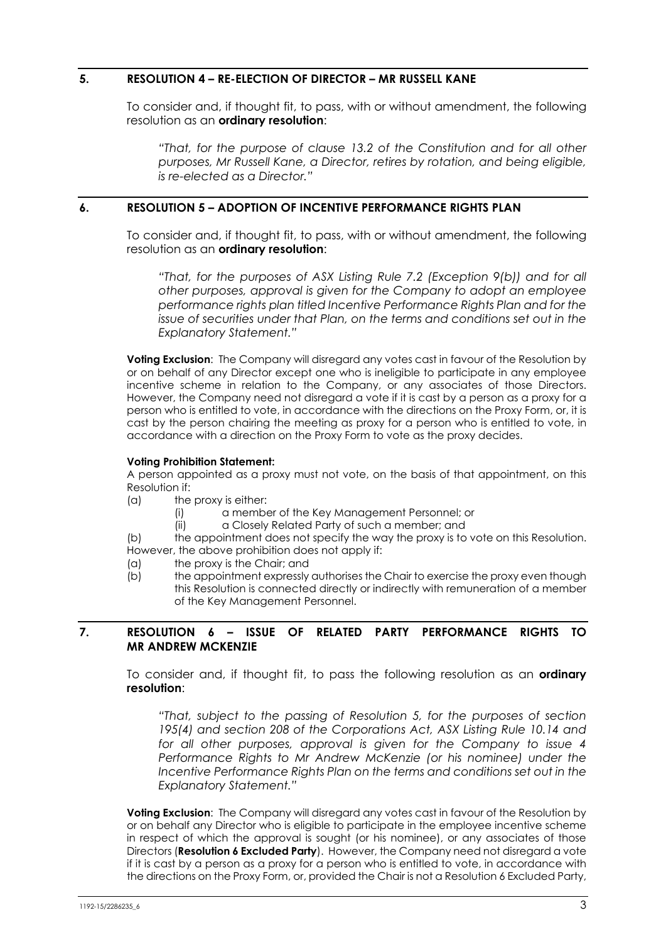#### **5. RESOLUTION 4 – RE-ELECTION OF DIRECTOR – MR RUSSELL KANE**

To consider and, if thought fit, to pass, with or without amendment, the following resolution as an **ordinary resolution**:

*"That, for the purpose of clause 13.2 of the Constitution and for all other purposes, Mr Russell Kane, a Director, retires by rotation, and being eligible, is re-elected as a Director."* 

#### **6. RESOLUTION 5 – ADOPTION OF INCENTIVE PERFORMANCE RIGHTS PLAN**

To consider and, if thought fit, to pass, with or without amendment, the following resolution as an **ordinary resolution**:

*"That, for the purposes of ASX Listing Rule 7.2 (Exception 9(b)) and for all other purposes, approval is given for the Company to adopt an employee performance rights plan titled Incentive Performance Rights Plan and for the issue of securities under that Plan, on the terms and conditions set out in the Explanatory Statement."* 

**Voting Exclusion**: The Company will disregard any votes cast in favour of the Resolution by or on behalf of any Director except one who is ineligible to participate in any employee incentive scheme in relation to the Company, or any associates of those Directors. However, the Company need not disregard a vote if it is cast by a person as a proxy for a person who is entitled to vote, in accordance with the directions on the Proxy Form, or, it is cast by the person chairing the meeting as proxy for a person who is entitled to vote, in accordance with a direction on the Proxy Form to vote as the proxy decides.

#### **Voting Prohibition Statement:**

A person appointed as a proxy must not vote, on the basis of that appointment, on this Resolution if:

- (a) the proxy is either:
	- (i) a member of the Key Management Personnel; or
	- (ii) a Closely Related Party of such a member; and

(b) the appointment does not specify the way the proxy is to vote on this Resolution. However, the above prohibition does not apply if:

- (a) the proxy is the Chair; and
- (b) the appointment expressly authorises the Chair to exercise the proxy even though this Resolution is connected directly or indirectly with remuneration of a member of the Key Management Personnel.

#### **7. RESOLUTION 6 – ISSUE OF RELATED PARTY PERFORMANCE RIGHTS TO MR ANDREW MCKENZIE**

To consider and, if thought fit, to pass the following resolution as an **ordinary resolution**:

*"That, subject to the passing of Resolution 5, for the purposes of section 195(4) and section 208 of the Corporations Act, ASX Listing Rule 10.14 and for all other purposes, approval is given for the Company to issue 4 Performance Rights to Mr Andrew McKenzie (or his nominee) under the Incentive Performance Rights Plan on the terms and conditions set out in the Explanatory Statement."* 

**Voting Exclusion**: The Company will disregard any votes cast in favour of the Resolution by or on behalf any Director who is eligible to participate in the employee incentive scheme in respect of which the approval is sought (or his nominee), or any associates of those Directors (**Resolution 6 Excluded Party**). However, the Company need not disregard a vote if it is cast by a person as a proxy for a person who is entitled to vote, in accordance with the directions on the Proxy Form, or, provided the Chair is not a Resolution 6 Excluded Party,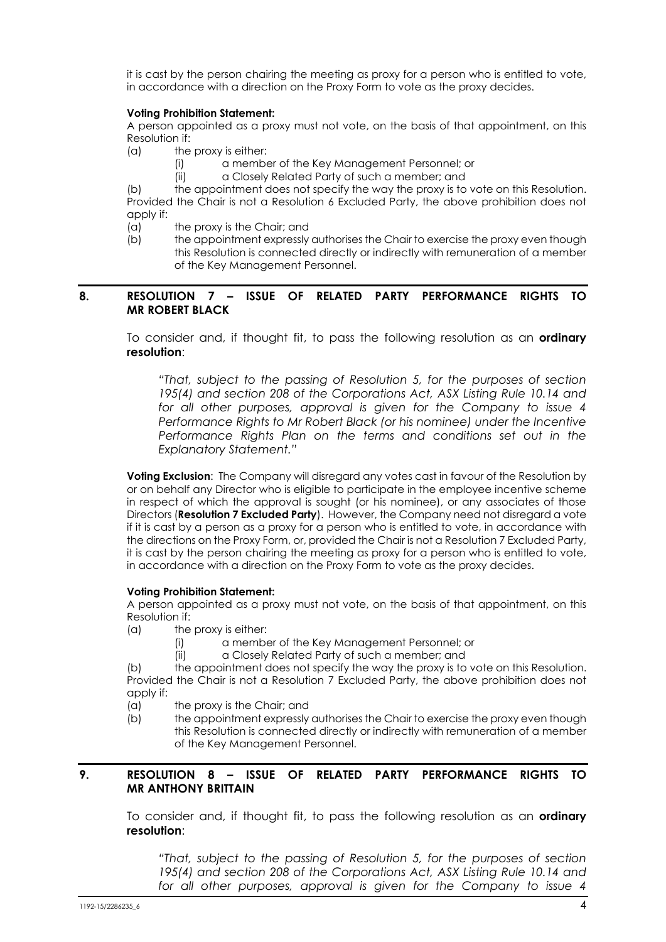it is cast by the person chairing the meeting as proxy for a person who is entitled to vote, in accordance with a direction on the Proxy Form to vote as the proxy decides.

#### **Voting Prohibition Statement:**

A person appointed as a proxy must not vote, on the basis of that appointment, on this Resolution if:

(a) the proxy is either:

- (i) a member of the Key Management Personnel; or
- (ii) a Closely Related Party of such a member; and

(b) the appointment does not specify the way the proxy is to vote on this Resolution. Provided the Chair is not a Resolution 6 Excluded Party, the above prohibition does not apply if:

(a) the proxy is the Chair; and

(b) the appointment expressly authorises the Chair to exercise the proxy even though this Resolution is connected directly or indirectly with remuneration of a member of the Key Management Personnel.

#### **8. RESOLUTION 7 – ISSUE OF RELATED PARTY PERFORMANCE RIGHTS TO MR ROBERT BLACK**

To consider and, if thought fit, to pass the following resolution as an **ordinary resolution**:

*"That, subject to the passing of Resolution 5, for the purposes of section 195(4) and section 208 of the Corporations Act, ASX Listing Rule 10.14 and for all other purposes, approval is given for the Company to issue 4 Performance Rights to Mr Robert Black (or his nominee) under the Incentive Performance Rights Plan on the terms and conditions set out in the Explanatory Statement."* 

**Voting Exclusion**: The Company will disregard any votes cast in favour of the Resolution by or on behalf any Director who is eligible to participate in the employee incentive scheme in respect of which the approval is sought (or his nominee), or any associates of those Directors (**Resolution 7 Excluded Party**). However, the Company need not disregard a vote if it is cast by a person as a proxy for a person who is entitled to vote, in accordance with the directions on the Proxy Form, or, provided the Chair is not a Resolution 7 Excluded Party, it is cast by the person chairing the meeting as proxy for a person who is entitled to vote, in accordance with a direction on the Proxy Form to vote as the proxy decides.

#### **Voting Prohibition Statement:**

A person appointed as a proxy must not vote, on the basis of that appointment, on this Resolution if:

- (a) the proxy is either:
	- (i) a member of the Key Management Personnel; or
	- (ii) a Closely Related Party of such a member; and

(b) the appointment does not specify the way the proxy is to vote on this Resolution. Provided the Chair is not a Resolution 7 Excluded Party, the above prohibition does not apply if:

- (a) the proxy is the Chair; and
- (b) the appointment expressly authorises the Chair to exercise the proxy even though this Resolution is connected directly or indirectly with remuneration of a member of the Key Management Personnel.

#### **9. RESOLUTION 8 – ISSUE OF RELATED PARTY PERFORMANCE RIGHTS TO MR ANTHONY BRITTAIN**

To consider and, if thought fit, to pass the following resolution as an **ordinary resolution**:

*"That, subject to the passing of Resolution 5, for the purposes of section 195(4) and section 208 of the Corporations Act, ASX Listing Rule 10.14 and for all other purposes, approval is given for the Company to issue 4*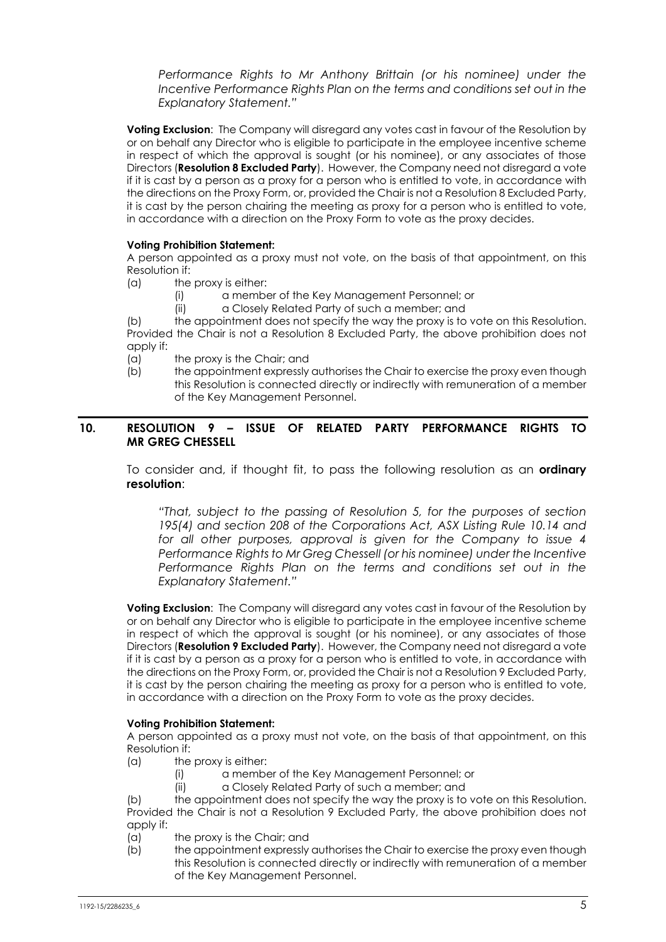*Performance Rights to Mr Anthony Brittain (or his nominee) under the Incentive Performance Rights Plan on the terms and conditions set out in the Explanatory Statement."* 

**Voting Exclusion:** The Company will disregard any votes cast in favour of the Resolution by or on behalf any Director who is eligible to participate in the employee incentive scheme in respect of which the approval is sought (or his nominee), or any associates of those Directors (**Resolution 8 Excluded Party**). However, the Company need not disregard a vote if it is cast by a person as a proxy for a person who is entitled to vote, in accordance with the directions on the Proxy Form, or, provided the Chair is not a Resolution 8 Excluded Party, it is cast by the person chairing the meeting as proxy for a person who is entitled to vote, in accordance with a direction on the Proxy Form to vote as the proxy decides.

#### **Voting Prohibition Statement:**

A person appointed as a proxy must not vote, on the basis of that appointment, on this Resolution if:

- (a) the proxy is either:
	- (i) a member of the Key Management Personnel; or
	- (ii) a Closely Related Party of such a member; and

(b) the appointment does not specify the way the proxy is to vote on this Resolution. Provided the Chair is not a Resolution 8 Excluded Party, the above prohibition does not apply if:

- (a) the proxy is the Chair; and
- (b) the appointment expressly authorises the Chair to exercise the proxy even though this Resolution is connected directly or indirectly with remuneration of a member of the Key Management Personnel.

#### **10. RESOLUTION 9 – ISSUE OF RELATED PARTY PERFORMANCE RIGHTS TO MR GREG CHESSELL**

To consider and, if thought fit, to pass the following resolution as an **ordinary resolution**:

*"That, subject to the passing of Resolution 5, for the purposes of section 195(4) and section 208 of the Corporations Act, ASX Listing Rule 10.14 and for all other purposes, approval is given for the Company to issue 4 Performance Rights to Mr Greg Chessell (or his nominee) under the Incentive Performance Rights Plan on the terms and conditions set out in the Explanatory Statement."* 

**Voting Exclusion**: The Company will disregard any votes cast in favour of the Resolution by or on behalf any Director who is eligible to participate in the employee incentive scheme in respect of which the approval is sought (or his nominee), or any associates of those Directors (**Resolution 9 Excluded Party**). However, the Company need not disregard a vote if it is cast by a person as a proxy for a person who is entitled to vote, in accordance with the directions on the Proxy Form, or, provided the Chair is not a Resolution 9 Excluded Party, it is cast by the person chairing the meeting as proxy for a person who is entitled to vote, in accordance with a direction on the Proxy Form to vote as the proxy decides.

#### **Voting Prohibition Statement:**

A person appointed as a proxy must not vote, on the basis of that appointment, on this Resolution if:

- (a) the proxy is either:
	- (i) a member of the Key Management Personnel; or
	- (ii) a Closely Related Party of such a member; and

(b) the appointment does not specify the way the proxy is to vote on this Resolution. Provided the Chair is not a Resolution 9 Excluded Party, the above prohibition does not apply if:

- (a) the proxy is the Chair; and
- (b) the appointment expressly authorises the Chair to exercise the proxy even though this Resolution is connected directly or indirectly with remuneration of a member of the Key Management Personnel.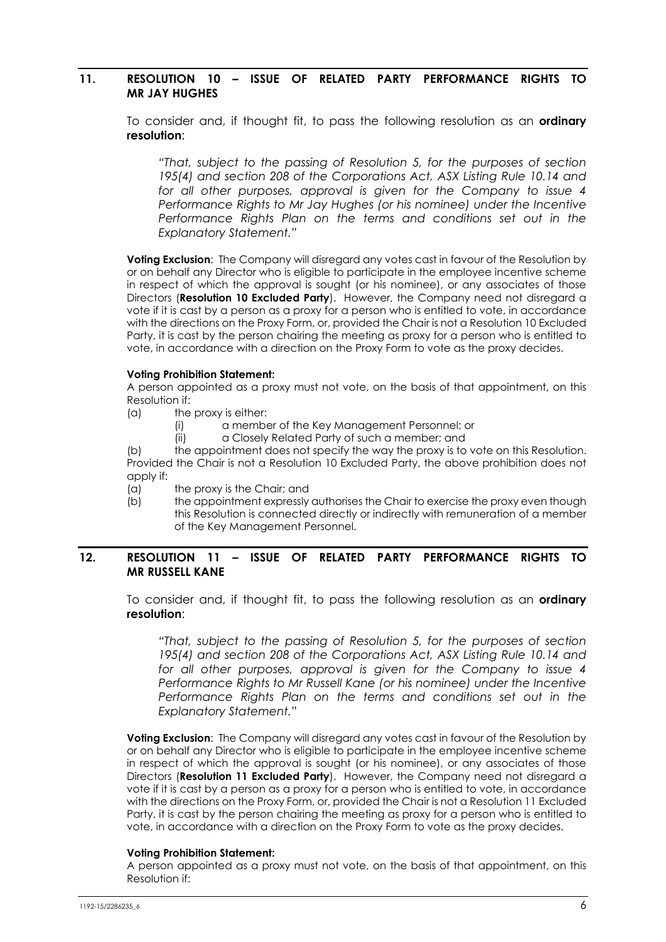#### **11. RESOLUTION 10 – ISSUE OF RELATED PARTY PERFORMANCE RIGHTS TO MR JAY HUGHES**

To consider and, if thought fit, to pass the following resolution as an **ordinary resolution**:

*"That, subject to the passing of Resolution 5, for the purposes of section 195(4) and section 208 of the Corporations Act, ASX Listing Rule 10.14 and for all other purposes, approval is given for the Company to issue 4 Performance Rights to Mr Jay Hughes (or his nominee) under the Incentive Performance Rights Plan on the terms and conditions set out in the Explanatory Statement."* 

**Voting Exclusion**: The Company will disregard any votes cast in favour of the Resolution by or on behalf any Director who is eligible to participate in the employee incentive scheme in respect of which the approval is sought (or his nominee), or any associates of those Directors (**Resolution 10 Excluded Party**). However, the Company need not disregard a vote if it is cast by a person as a proxy for a person who is entitled to vote, in accordance with the directions on the Proxy Form, or, provided the Chair is not a Resolution 10 Excluded Party, it is cast by the person chairing the meeting as proxy for a person who is entitled to vote, in accordance with a direction on the Proxy Form to vote as the proxy decides.

#### **Voting Prohibition Statement:**

A person appointed as a proxy must not vote, on the basis of that appointment, on this Resolution if:

- (a) the proxy is either:
	- (i) a member of the Key Management Personnel; or
	- (ii) a Closely Related Party of such a member; and

(b) the appointment does not specify the way the proxy is to vote on this Resolution. Provided the Chair is not a Resolution 10 Excluded Party, the above prohibition does not apply if:

- (a) the proxy is the Chair; and
- $\overrightarrow{b}$  the appointment expressly authorises the Chair to exercise the proxy even though this Resolution is connected directly or indirectly with remuneration of a member of the Key Management Personnel.

#### **12. RESOLUTION 11 – ISSUE OF RELATED PARTY PERFORMANCE RIGHTS TO MR RUSSELL KANE**

To consider and, if thought fit, to pass the following resolution as an **ordinary resolution**:

*"That, subject to the passing of Resolution 5, for the purposes of section 195(4) and section 208 of the Corporations Act, ASX Listing Rule 10.14 and for all other purposes, approval is given for the Company to issue 4 Performance Rights to Mr Russell Kane (or his nominee) under the Incentive Performance Rights Plan on the terms and conditions set out in the Explanatory Statement."* 

**Voting Exclusion**: The Company will disregard any votes cast in favour of the Resolution by or on behalf any Director who is eligible to participate in the employee incentive scheme in respect of which the approval is sought (or his nominee), or any associates of those Directors (**Resolution 11 Excluded Party**). However, the Company need not disregard a vote if it is cast by a person as a proxy for a person who is entitled to vote, in accordance with the directions on the Proxy Form, or, provided the Chair is not a Resolution 11 Excluded Party, it is cast by the person chairing the meeting as proxy for a person who is entitled to vote, in accordance with a direction on the Proxy Form to vote as the proxy decides.

#### **Voting Prohibition Statement:**

A person appointed as a proxy must not vote, on the basis of that appointment, on this Resolution if: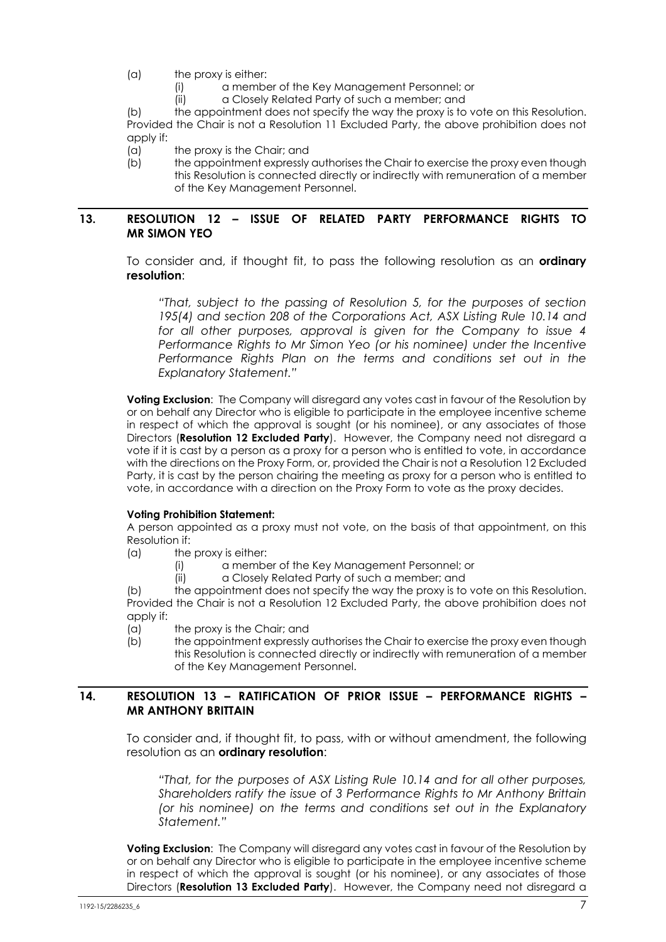(a) the proxy is either:

- (i) a member of the Key Management Personnel; or
- (ii) a Closely Related Party of such a member; and

(b) the appointment does not specify the way the proxy is to vote on this Resolution. Provided the Chair is not a Resolution 11 Excluded Party, the above prohibition does not apply if:

(a) the proxy is the Chair; and

(b) the appointment expressly authorises the Chair to exercise the proxy even though this Resolution is connected directly or indirectly with remuneration of a member of the Key Management Personnel.

#### **13. RESOLUTION 12 – ISSUE OF RELATED PARTY PERFORMANCE RIGHTS TO MR SIMON YEO**

To consider and, if thought fit, to pass the following resolution as an **ordinary resolution**:

*"That, subject to the passing of Resolution 5, for the purposes of section 195(4) and section 208 of the Corporations Act, ASX Listing Rule 10.14 and for all other purposes, approval is given for the Company to issue 4 Performance Rights to Mr Simon Yeo (or his nominee) under the Incentive Performance Rights Plan on the terms and conditions set out in the Explanatory Statement."* 

**Voting Exclusion**: The Company will disregard any votes cast in favour of the Resolution by or on behalf any Director who is eligible to participate in the employee incentive scheme in respect of which the approval is sought (or his nominee), or any associates of those Directors (**Resolution 12 Excluded Party**). However, the Company need not disregard a vote if it is cast by a person as a proxy for a person who is entitled to vote, in accordance with the directions on the Proxy Form, or, provided the Chair is not a Resolution 12 Excluded Party, it is cast by the person chairing the meeting as proxy for a person who is entitled to vote, in accordance with a direction on the Proxy Form to vote as the proxy decides.

#### **Voting Prohibition Statement:**

A person appointed as a proxy must not vote, on the basis of that appointment, on this Resolution if:

- (a) the proxy is either:
	- (i) a member of the Key Management Personnel; or
	- (ii) a Closely Related Party of such a member; and

(b) the appointment does not specify the way the proxy is to vote on this Resolution. Provided the Chair is not a Resolution 12 Excluded Party, the above prohibition does not apply if:

- (a) the proxy is the Chair; and
- (b) the appointment expressly authorises the Chair to exercise the proxy even though this Resolution is connected directly or indirectly with remuneration of a member of the Key Management Personnel.

#### **14. RESOLUTION 13 – RATIFICATION OF PRIOR ISSUE – PERFORMANCE RIGHTS – MR ANTHONY BRITTAIN**

To consider and, if thought fit, to pass, with or without amendment, the following resolution as an **ordinary resolution**:

*"That, for the purposes of ASX Listing Rule 10.14 and for all other purposes, Shareholders ratify the issue of 3 Performance Rights to Mr Anthony Brittain (or his nominee) on the terms and conditions set out in the Explanatory Statement."* 

**Voting Exclusion**: The Company will disregard any votes cast in favour of the Resolution by or on behalf any Director who is eligible to participate in the employee incentive scheme in respect of which the approval is sought (or his nominee), or any associates of those Directors (**Resolution 13 Excluded Party**). However, the Company need not disregard a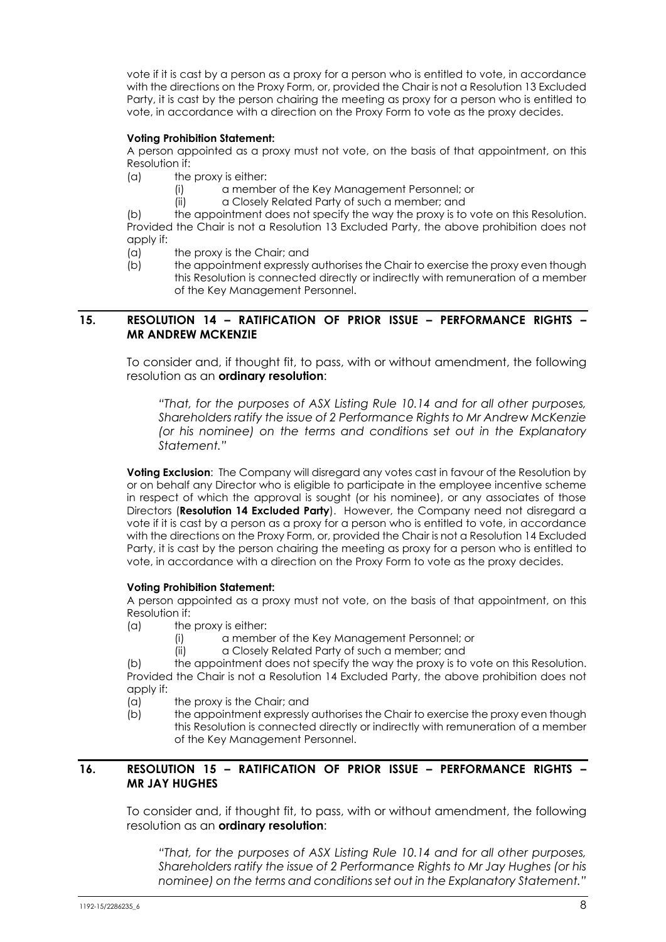vote if it is cast by a person as a proxy for a person who is entitled to vote, in accordance with the directions on the Proxy Form, or, provided the Chair is not a Resolution 13 Excluded Party, it is cast by the person chairing the meeting as proxy for a person who is entitled to vote, in accordance with a direction on the Proxy Form to vote as the proxy decides.

#### **Voting Prohibition Statement:**

A person appointed as a proxy must not vote, on the basis of that appointment, on this Resolution if:

- (a) the proxy is either:
	- (i) a member of the Key Management Personnel; or
	- (ii) a Closely Related Party of such a member; and

(b) the appointment does not specify the way the proxy is to vote on this Resolution. Provided the Chair is not a Resolution 13 Excluded Party, the above prohibition does not apply if:

- (a) the proxy is the Chair; and
- (b) the appointment expressly authorises the Chair to exercise the proxy even though this Resolution is connected directly or indirectly with remuneration of a member of the Key Management Personnel.

#### **15. RESOLUTION 14 – RATIFICATION OF PRIOR ISSUE – PERFORMANCE RIGHTS – MR ANDREW MCKENZIE**

To consider and, if thought fit, to pass, with or without amendment, the following resolution as an **ordinary resolution**:

*"That, for the purposes of ASX Listing Rule 10.14 and for all other purposes, Shareholders ratify the issue of 2 Performance Rights to Mr Andrew McKenzie (or his nominee) on the terms and conditions set out in the Explanatory Statement."* 

**Voting Exclusion**: The Company will disregard any votes cast in favour of the Resolution by or on behalf any Director who is eligible to participate in the employee incentive scheme in respect of which the approval is sought (or his nominee), or any associates of those Directors (**Resolution 14 Excluded Party**). However, the Company need not disregard a vote if it is cast by a person as a proxy for a person who is entitled to vote, in accordance with the directions on the Proxy Form, or, provided the Chair is not a Resolution 14 Excluded Party, it is cast by the person chairing the meeting as proxy for a person who is entitled to vote, in accordance with a direction on the Proxy Form to vote as the proxy decides.

#### **Voting Prohibition Statement:**

A person appointed as a proxy must not vote, on the basis of that appointment, on this Resolution if:

- (a) the proxy is either:
	- (i) a member of the Key Management Personnel; or
	- (ii) a Closely Related Party of such a member; and

(b) the appointment does not specify the way the proxy is to vote on this Resolution. Provided the Chair is not a Resolution 14 Excluded Party, the above prohibition does not apply if:

- (a) the proxy is the Chair; and
- (b) the appointment expressly authorises the Chair to exercise the proxy even though this Resolution is connected directly or indirectly with remuneration of a member of the Key Management Personnel.

#### **16. RESOLUTION 15 – RATIFICATION OF PRIOR ISSUE – PERFORMANCE RIGHTS – MR JAY HUGHES**

To consider and, if thought fit, to pass, with or without amendment, the following resolution as an **ordinary resolution**:

*"That, for the purposes of ASX Listing Rule 10.14 and for all other purposes, Shareholders ratify the issue of 2 Performance Rights to Mr Jay Hughes (or his nominee) on the terms and conditions set out in the Explanatory Statement."*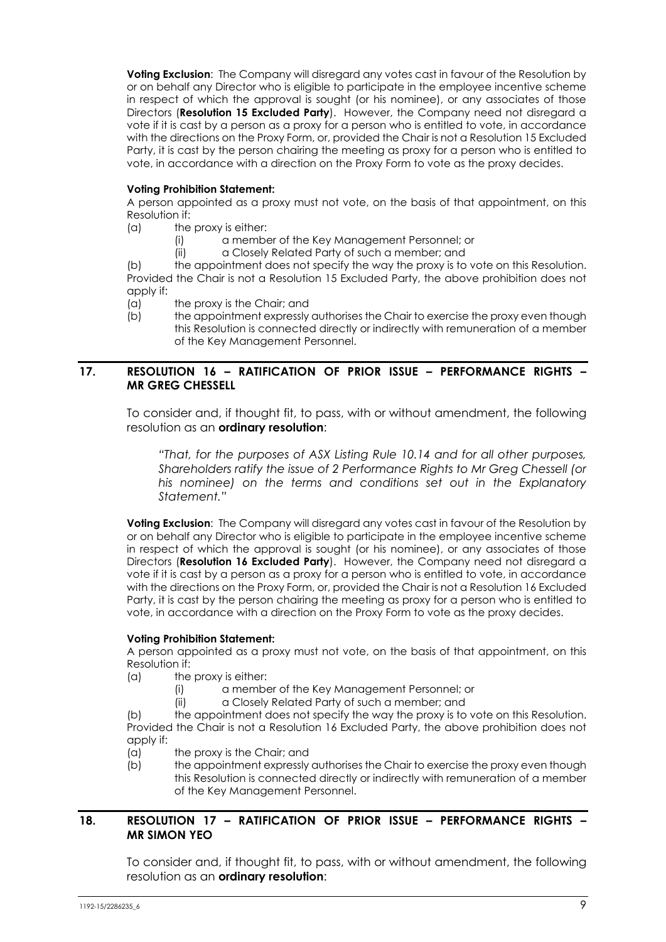**Voting Exclusion**: The Company will disregard any votes cast in favour of the Resolution by or on behalf any Director who is eligible to participate in the employee incentive scheme in respect of which the approval is sought (or his nominee), or any associates of those Directors (**Resolution 15 Excluded Party**). However, the Company need not disregard a vote if it is cast by a person as a proxy for a person who is entitled to vote, in accordance with the directions on the Proxy Form, or, provided the Chair is not a Resolution 15 Excluded Party, it is cast by the person chairing the meeting as proxy for a person who is entitled to vote, in accordance with a direction on the Proxy Form to vote as the proxy decides.

#### **Voting Prohibition Statement:**

A person appointed as a proxy must not vote, on the basis of that appointment, on this Resolution if:

- (a) the proxy is either:
	- (i) a member of the Key Management Personnel; or
	- (ii) a Closely Related Party of such a member; and

(b) the appointment does not specify the way the proxy is to vote on this Resolution. Provided the Chair is not a Resolution 15 Excluded Party, the above prohibition does not apply if:

- (a) the proxy is the Chair; and
- (b) the appointment expressly authorises the Chair to exercise the proxy even though this Resolution is connected directly or indirectly with remuneration of a member of the Key Management Personnel.

#### **17. RESOLUTION 16 – RATIFICATION OF PRIOR ISSUE – PERFORMANCE RIGHTS – MR GREG CHESSELL**

To consider and, if thought fit, to pass, with or without amendment, the following resolution as an **ordinary resolution**:

*"That, for the purposes of ASX Listing Rule 10.14 and for all other purposes, Shareholders ratify the issue of 2 Performance Rights to Mr Greg Chessell (or his nominee) on the terms and conditions set out in the Explanatory Statement."* 

**Voting Exclusion**: The Company will disregard any votes cast in favour of the Resolution by or on behalf any Director who is eligible to participate in the employee incentive scheme in respect of which the approval is sought (or his nominee), or any associates of those Directors (**Resolution 16 Excluded Party**). However, the Company need not disregard a vote if it is cast by a person as a proxy for a person who is entitled to vote, in accordance with the directions on the Proxy Form, or, provided the Chair is not a Resolution 16 Excluded Party, it is cast by the person chairing the meeting as proxy for a person who is entitled to vote, in accordance with a direction on the Proxy Form to vote as the proxy decides.

#### **Voting Prohibition Statement:**

A person appointed as a proxy must not vote, on the basis of that appointment, on this Resolution if:

- (a) the proxy is either:
	- (i) a member of the Key Management Personnel; or
	- (ii) a Closely Related Party of such a member; and

(b) the appointment does not specify the way the proxy is to vote on this Resolution. Provided the Chair is not a Resolution 16 Excluded Party, the above prohibition does not apply if:

- (a) the proxy is the Chair; and
- (b) the appointment expressly authorises the Chair to exercise the proxy even though this Resolution is connected directly or indirectly with remuneration of a member of the Key Management Personnel.

#### **18. RESOLUTION 17 – RATIFICATION OF PRIOR ISSUE – PERFORMANCE RIGHTS – MR SIMON YEO**

To consider and, if thought fit, to pass, with or without amendment, the following resolution as an **ordinary resolution**: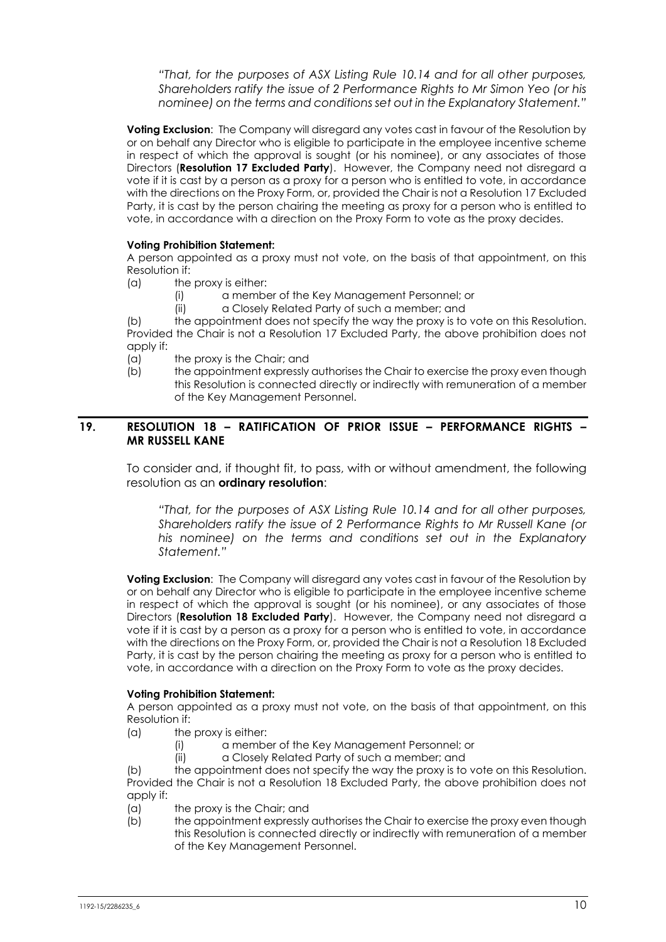*"That, for the purposes of ASX Listing Rule 10.14 and for all other purposes, Shareholders ratify the issue of 2 Performance Rights to Mr Simon Yeo (or his nominee) on the terms and conditions set out in the Explanatory Statement."* 

**Voting Exclusion:** The Company will disregard any votes cast in favour of the Resolution by or on behalf any Director who is eligible to participate in the employee incentive scheme in respect of which the approval is sought (or his nominee), or any associates of those Directors (**Resolution 17 Excluded Party**). However, the Company need not disregard a vote if it is cast by a person as a proxy for a person who is entitled to vote, in accordance with the directions on the Proxy Form, or, provided the Chair is not a Resolution 17 Excluded Party, it is cast by the person chairing the meeting as proxy for a person who is entitled to vote, in accordance with a direction on the Proxy Form to vote as the proxy decides.

#### **Voting Prohibition Statement:**

A person appointed as a proxy must not vote, on the basis of that appointment, on this Resolution if:

- (a) the proxy is either:
	- (i) a member of the Key Management Personnel; or
	- (ii) a Closely Related Party of such a member; and

(b) the appointment does not specify the way the proxy is to vote on this Resolution. Provided the Chair is not a Resolution 17 Excluded Party, the above prohibition does not apply if:

- (a) the proxy is the Chair; and
- (b) the appointment expressly authorises the Chair to exercise the proxy even though this Resolution is connected directly or indirectly with remuneration of a member of the Key Management Personnel.

#### **19. RESOLUTION 18 – RATIFICATION OF PRIOR ISSUE – PERFORMANCE RIGHTS – MR RUSSELL KANE**

To consider and, if thought fit, to pass, with or without amendment, the following resolution as an **ordinary resolution**:

*"That, for the purposes of ASX Listing Rule 10.14 and for all other purposes, Shareholders ratify the issue of 2 Performance Rights to Mr Russell Kane (or his nominee) on the terms and conditions set out in the Explanatory Statement."* 

**Voting Exclusion**: The Company will disregard any votes cast in favour of the Resolution by or on behalf any Director who is eligible to participate in the employee incentive scheme in respect of which the approval is sought (or his nominee), or any associates of those Directors (**Resolution 18 Excluded Party**). However, the Company need not disregard a vote if it is cast by a person as a proxy for a person who is entitled to vote, in accordance with the directions on the Proxy Form, or, provided the Chair is not a Resolution 18 Excluded Party, it is cast by the person chairing the meeting as proxy for a person who is entitled to vote, in accordance with a direction on the Proxy Form to vote as the proxy decides.

#### **Voting Prohibition Statement:**

A person appointed as a proxy must not vote, on the basis of that appointment, on this Resolution if:

- (a) the proxy is either:
	- (i) a member of the Key Management Personnel; or
	- (ii) a Closely Related Party of such a member; and

(b) the appointment does not specify the way the proxy is to vote on this Resolution. Provided the Chair is not a Resolution 18 Excluded Party, the above prohibition does not apply if:

- (a) the proxy is the Chair; and
- (b) the appointment expressly authorises the Chair to exercise the proxy even though this Resolution is connected directly or indirectly with remuneration of a member of the Key Management Personnel.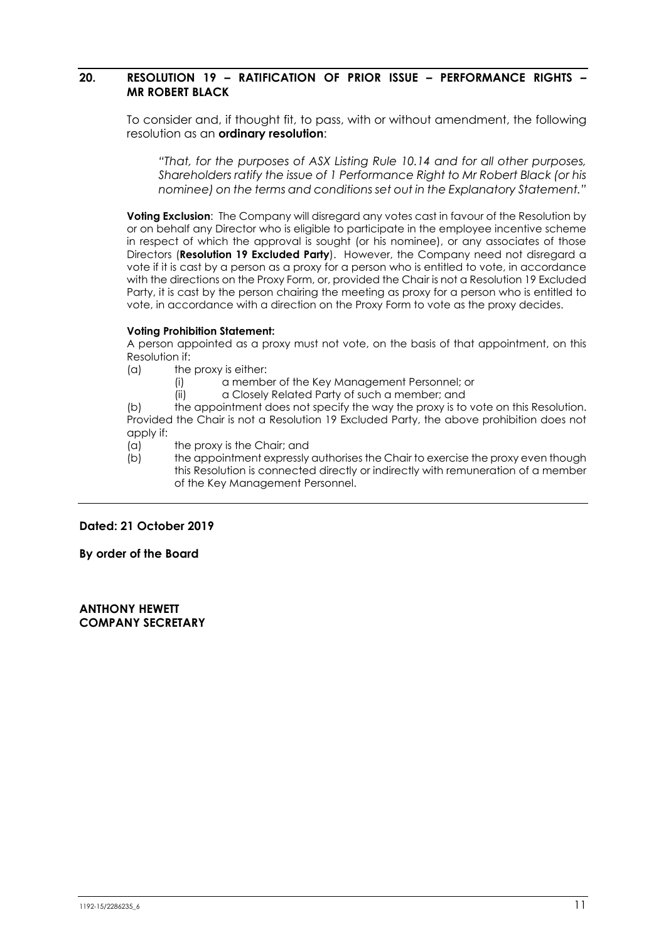#### **20. RESOLUTION 19 – RATIFICATION OF PRIOR ISSUE – PERFORMANCE RIGHTS – MR ROBERT BLACK**

To consider and, if thought fit, to pass, with or without amendment, the following resolution as an **ordinary resolution**:

*"That, for the purposes of ASX Listing Rule 10.14 and for all other purposes, Shareholders ratify the issue of 1 Performance Right to Mr Robert Black (or his nominee) on the terms and conditions set out in the Explanatory Statement."* 

**Voting Exclusion:** The Company will disregard any votes cast in favour of the Resolution by or on behalf any Director who is eligible to participate in the employee incentive scheme in respect of which the approval is sought (or his nominee), or any associates of those Directors (**Resolution 19 Excluded Party**). However, the Company need not disregard a vote if it is cast by a person as a proxy for a person who is entitled to vote, in accordance with the directions on the Proxy Form, or, provided the Chair is not a Resolution 19 Excluded Party, it is cast by the person chairing the meeting as proxy for a person who is entitled to vote, in accordance with a direction on the Proxy Form to vote as the proxy decides.

#### **Voting Prohibition Statement:**

A person appointed as a proxy must not vote, on the basis of that appointment, on this Resolution if:

(a) the proxy is either:

- (i) a member of the Key Management Personnel; or
- (ii) a Closely Related Party of such a member; and

(b) the appointment does not specify the way the proxy is to vote on this Resolution. Provided the Chair is not a Resolution 19 Excluded Party, the above prohibition does not apply if:

- (a) the proxy is the Chair; and
- (b) the appointment expressly authorises the Chair to exercise the proxy even though this Resolution is connected directly or indirectly with remuneration of a member of the Key Management Personnel.

#### **Dated: 21 October 2019**

**By order of the Board** 

**ANTHONY HEWETT COMPANY SECRETARY**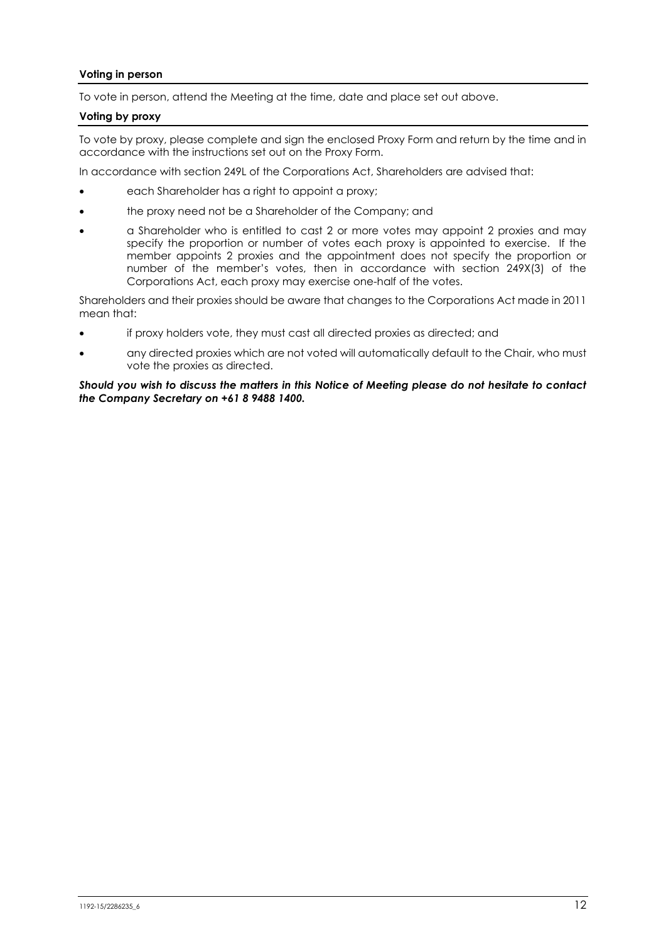#### **Voting in person**

To vote in person, attend the Meeting at the time, date and place set out above.

#### **Voting by proxy**

To vote by proxy, please complete and sign the enclosed Proxy Form and return by the time and in accordance with the instructions set out on the Proxy Form.

In accordance with section 249L of the Corporations Act, Shareholders are advised that:

- each Shareholder has a right to appoint a proxy;
- the proxy need not be a Shareholder of the Company; and
- a Shareholder who is entitled to cast 2 or more votes may appoint 2 proxies and may specify the proportion or number of votes each proxy is appointed to exercise. If the member appoints 2 proxies and the appointment does not specify the proportion or number of the member's votes, then in accordance with section 249X(3) of the Corporations Act, each proxy may exercise one-half of the votes.

Shareholders and their proxies should be aware that changes to the Corporations Act made in 2011 mean that:

- if proxy holders vote, they must cast all directed proxies as directed; and
- any directed proxies which are not voted will automatically default to the Chair, who must vote the proxies as directed.

*Should you wish to discuss the matters in this Notice of Meeting please do not hesitate to contact the Company Secretary on +61 8 9488 1400.*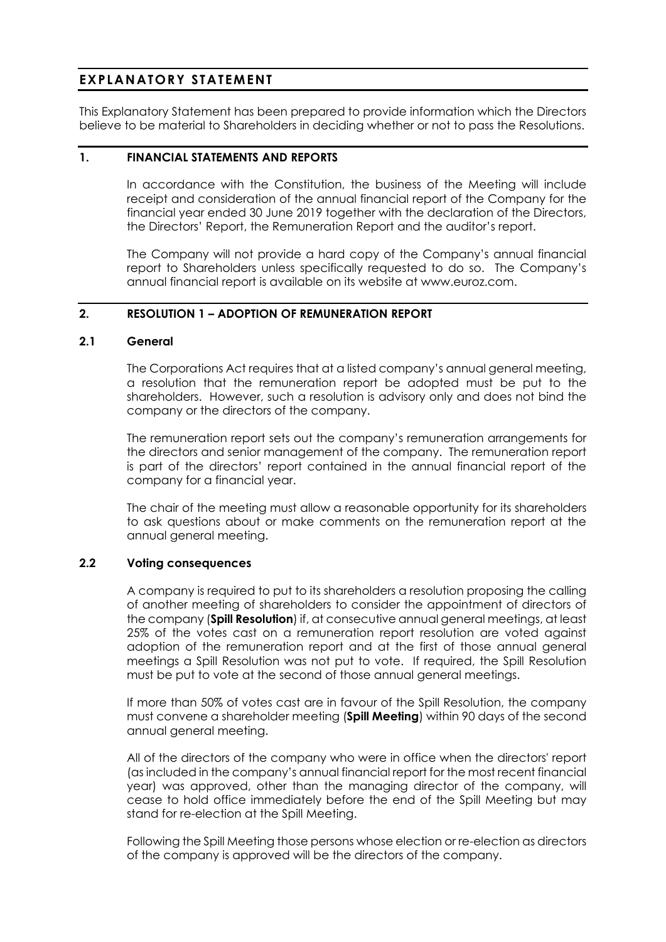### **EXPLANATORY STATEMENT**

This Explanatory Statement has been prepared to provide information which the Directors believe to be material to Shareholders in deciding whether or not to pass the Resolutions.

#### **1. FINANCIAL STATEMENTS AND REPORTS**

In accordance with the Constitution, the business of the Meeting will include receipt and consideration of the annual financial report of the Company for the financial year ended 30 June 2019 together with the declaration of the Directors, the Directors' Report, the Remuneration Report and the auditor's report.

The Company will not provide a hard copy of the Company's annual financial report to Shareholders unless specifically requested to do so. The Company's annual financial report is available on its website at www.euroz.com.

#### **2. RESOLUTION 1 – ADOPTION OF REMUNERATION REPORT**

#### **2.1 General**

The Corporations Act requires that at a listed company's annual general meeting, a resolution that the remuneration report be adopted must be put to the shareholders. However, such a resolution is advisory only and does not bind the company or the directors of the company.

The remuneration report sets out the company's remuneration arrangements for the directors and senior management of the company. The remuneration report is part of the directors' report contained in the annual financial report of the company for a financial year.

The chair of the meeting must allow a reasonable opportunity for its shareholders to ask questions about or make comments on the remuneration report at the annual general meeting.

#### **2.2 Voting consequences**

A company is required to put to its shareholders a resolution proposing the calling of another meeting of shareholders to consider the appointment of directors of the company (**Spill Resolution**) if, at consecutive annual general meetings, at least 25% of the votes cast on a remuneration report resolution are voted against adoption of the remuneration report and at the first of those annual general meetings a Spill Resolution was not put to vote. If required, the Spill Resolution must be put to vote at the second of those annual general meetings.

If more than 50% of votes cast are in favour of the Spill Resolution, the company must convene a shareholder meeting (**Spill Meeting**) within 90 days of the second annual general meeting.

All of the directors of the company who were in office when the directors' report (as included in the company's annual financial report for the most recent financial year) was approved, other than the managing director of the company, will cease to hold office immediately before the end of the Spill Meeting but may stand for re-election at the Spill Meeting.

Following the Spill Meeting those persons whose election or re-election as directors of the company is approved will be the directors of the company.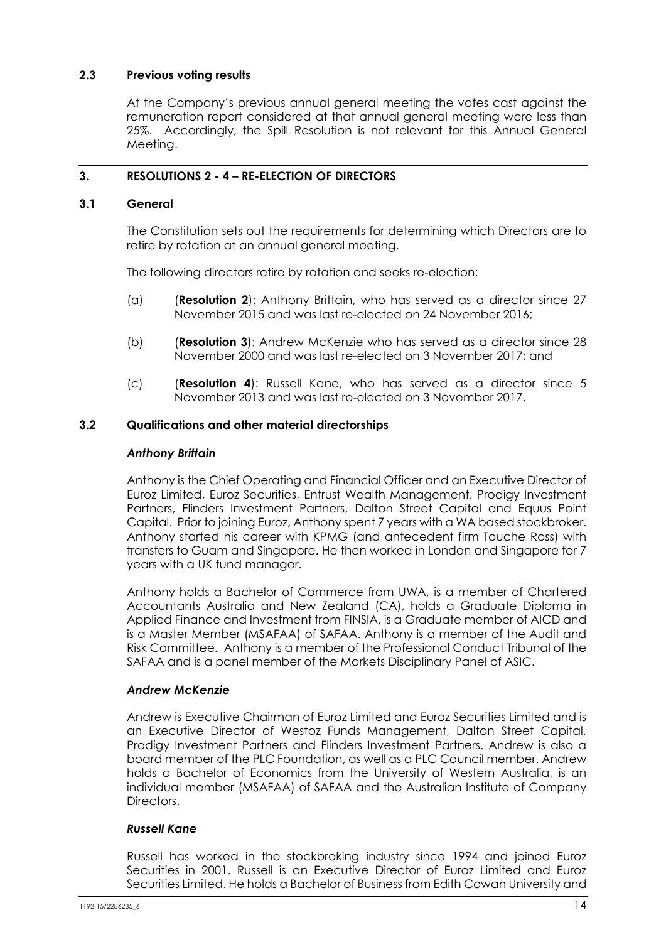#### **2.3 Previous voting results**

At the Company's previous annual general meeting the votes cast against the remuneration report considered at that annual general meeting were less than 25%. Accordingly, the Spill Resolution is not relevant for this Annual General Meeting.

### **3. RESOLUTIONS 2 - 4 – RE-ELECTION OF DIRECTORS**

#### **3.1 General**

The Constitution sets out the requirements for determining which Directors are to retire by rotation at an annual general meeting.

The following directors retire by rotation and seeks re-election:

- (a) (**Resolution 2**): Anthony Brittain, who has served as a director since 27 November 2015 and was last re-elected on 24 November 2016;
- (b) (**Resolution 3**): Andrew McKenzie who has served as a director since 28 November 2000 and was last re-elected on 3 November 2017; and
- (c) (**Resolution 4**): Russell Kane, who has served as a director since 5 November 2013 and was last re-elected on 3 November 2017.

#### **3.2 Qualifications and other material directorships**

#### *Anthony Brittain*

Anthony is the Chief Operating and Financial Officer and an Executive Director of Euroz Limited, Euroz Securities, Entrust Wealth Management, Prodigy Investment Partners, Flinders Investment Partners, Dalton Street Capital and Equus Point Capital. Prior to joining Euroz, Anthony spent 7 years with a WA based stockbroker. Anthony started his career with KPMG (and antecedent firm Touche Ross) with transfers to Guam and Singapore. He then worked in London and Singapore for 7 years with a UK fund manager.

Anthony holds a Bachelor of Commerce from UWA, is a member of Chartered Accountants Australia and New Zealand (CA), holds a Graduate Diploma in Applied Finance and Investment from FINSIA, is a Graduate member of AICD and is a Master Member (MSAFAA) of SAFAA. Anthony is a member of the Audit and Risk Committee. Anthony is a member of the Professional Conduct Tribunal of the SAFAA and is a panel member of the Markets Disciplinary Panel of ASIC.

#### *Andrew McKenzie*

Andrew is Executive Chairman of Euroz Limited and Euroz Securities Limited and is an Executive Director of Westoz Funds Management, Dalton Street Capital, Prodigy Investment Partners and Flinders Investment Partners. Andrew is also a board member of the PLC Foundation, as well as a PLC Council member. Andrew holds a Bachelor of Economics from the University of Western Australia, is an individual member (MSAFAA) of SAFAA and the Australian Institute of Company Directors.

#### *Russell Kane*

Russell has worked in the stockbroking industry since 1994 and joined Euroz Securities in 2001. Russell is an Executive Director of Euroz Limited and Euroz Securities Limited. He holds a Bachelor of Business from Edith Cowan University and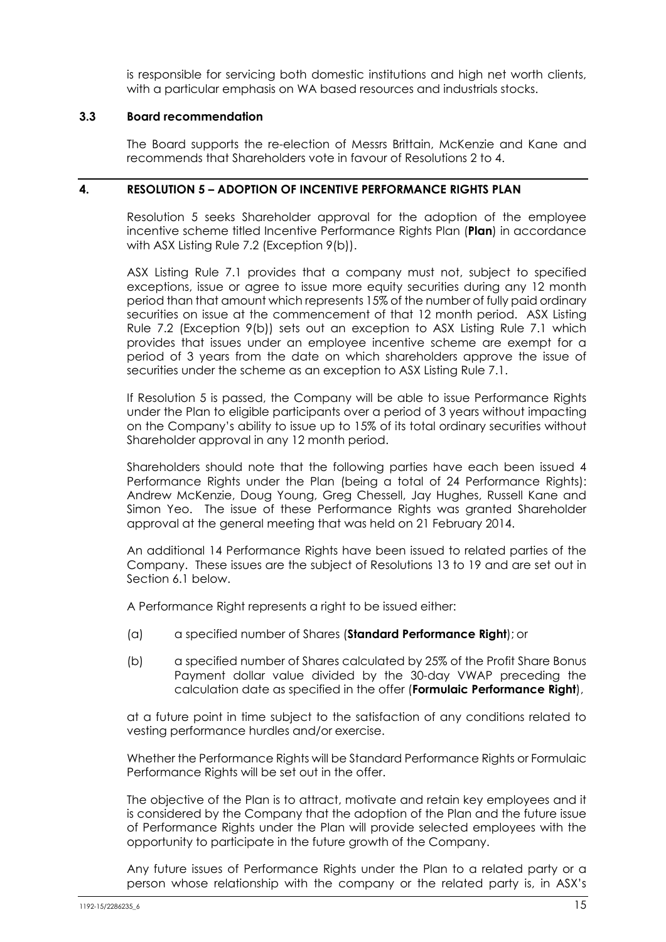is responsible for servicing both domestic institutions and high net worth clients, with a particular emphasis on WA based resources and industrials stocks.

#### **3.3 Board recommendation**

The Board supports the re-election of Messrs Brittain, McKenzie and Kane and recommends that Shareholders vote in favour of Resolutions 2 to 4.

#### **4. RESOLUTION 5 – ADOPTION OF INCENTIVE PERFORMANCE RIGHTS PLAN**

Resolution 5 seeks Shareholder approval for the adoption of the employee incentive scheme titled Incentive Performance Rights Plan (**Plan**) in accordance with ASX Listing Rule 7.2 (Exception 9(b)).

ASX Listing Rule 7.1 provides that a company must not, subject to specified exceptions, issue or agree to issue more equity securities during any 12 month period than that amount which represents 15% of the number of fully paid ordinary securities on issue at the commencement of that 12 month period. ASX Listing Rule 7.2 (Exception 9(b)) sets out an exception to ASX Listing Rule 7.1 which provides that issues under an employee incentive scheme are exempt for a period of 3 years from the date on which shareholders approve the issue of securities under the scheme as an exception to ASX Listing Rule 7.1.

If Resolution 5 is passed, the Company will be able to issue Performance Rights under the Plan to eligible participants over a period of 3 years without impacting on the Company's ability to issue up to 15% of its total ordinary securities without Shareholder approval in any 12 month period.

Shareholders should note that the following parties have each been issued 4 Performance Rights under the Plan (being a total of 24 Performance Rights): Andrew McKenzie, Doug Young, Greg Chessell, Jay Hughes, Russell Kane and Simon Yeo. The issue of these Performance Rights was granted Shareholder approval at the general meeting that was held on 21 February 2014.

An additional 14 Performance Rights have been issued to related parties of the Company. These issues are the subject of Resolutions 13 to 19 and are set out in Section 6.1 below.

A Performance Right represents a right to be issued either:

- (a) a specified number of Shares (**Standard Performance Right**); or
- (b) a specified number of Shares calculated by 25% of the Profit Share Bonus Payment dollar value divided by the 30-day VWAP preceding the calculation date as specified in the offer (**Formulaic Performance Right**),

at a future point in time subject to the satisfaction of any conditions related to vesting performance hurdles and/or exercise.

Whether the Performance Rights will be Standard Performance Rights or Formulaic Performance Rights will be set out in the offer.

The objective of the Plan is to attract, motivate and retain key employees and it is considered by the Company that the adoption of the Plan and the future issue of Performance Rights under the Plan will provide selected employees with the opportunity to participate in the future growth of the Company.

Any future issues of Performance Rights under the Plan to a related party or a person whose relationship with the company or the related party is, in ASX's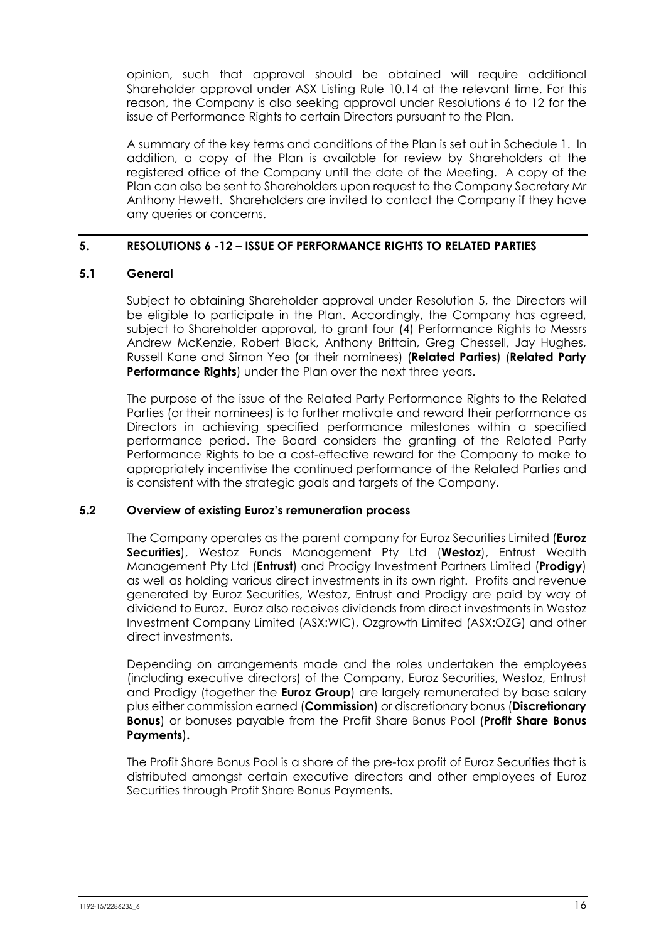opinion, such that approval should be obtained will require additional Shareholder approval under ASX Listing Rule 10.14 at the relevant time. For this reason, the Company is also seeking approval under Resolutions 6 to 12 for the issue of Performance Rights to certain Directors pursuant to the Plan.

A summary of the key terms and conditions of the Plan is set out in Schedule 1. In addition, a copy of the Plan is available for review by Shareholders at the registered office of the Company until the date of the Meeting. A copy of the Plan can also be sent to Shareholders upon request to the Company Secretary Mr Anthony Hewett. Shareholders are invited to contact the Company if they have any queries or concerns.

### **5. RESOLUTIONS 6 -12 – ISSUE OF PERFORMANCE RIGHTS TO RELATED PARTIES**

#### **5.1 General**

Subject to obtaining Shareholder approval under Resolution 5, the Directors will be eligible to participate in the Plan. Accordingly, the Company has agreed, subject to Shareholder approval, to grant four (4) Performance Rights to Messrs Andrew McKenzie, Robert Black, Anthony Brittain, Greg Chessell, Jay Hughes, Russell Kane and Simon Yeo (or their nominees) (**Related Parties**) (**Related Party Performance Rights**) under the Plan over the next three years.

The purpose of the issue of the Related Party Performance Rights to the Related Parties (or their nominees) is to further motivate and reward their performance as Directors in achieving specified performance milestones within a specified performance period. The Board considers the granting of the Related Party Performance Rights to be a cost-effective reward for the Company to make to appropriately incentivise the continued performance of the Related Parties and is consistent with the strategic goals and targets of the Company.

#### **5.2 Overview of existing Euroz's remuneration process**

The Company operates as the parent company for Euroz Securities Limited (**Euroz Securities**), Westoz Funds Management Pty Ltd (**Westoz**), Entrust Wealth Management Pty Ltd (**Entrust**) and Prodigy Investment Partners Limited (**Prodigy**) as well as holding various direct investments in its own right. Profits and revenue generated by Euroz Securities, Westoz, Entrust and Prodigy are paid by way of dividend to Euroz. Euroz also receives dividends from direct investments in Westoz Investment Company Limited (ASX:WIC), Ozgrowth Limited (ASX:OZG) and other direct investments.

Depending on arrangements made and the roles undertaken the employees (including executive directors) of the Company, Euroz Securities, Westoz, Entrust and Prodigy (together the **Euroz Group**) are largely remunerated by base salary plus either commission earned (**Commission**) or discretionary bonus (**Discretionary Bonus**) or bonuses payable from the Profit Share Bonus Pool (**Profit Share Bonus Payments**)**.**

The Profit Share Bonus Pool is a share of the pre-tax profit of Euroz Securities that is distributed amongst certain executive directors and other employees of Euroz Securities through Profit Share Bonus Payments.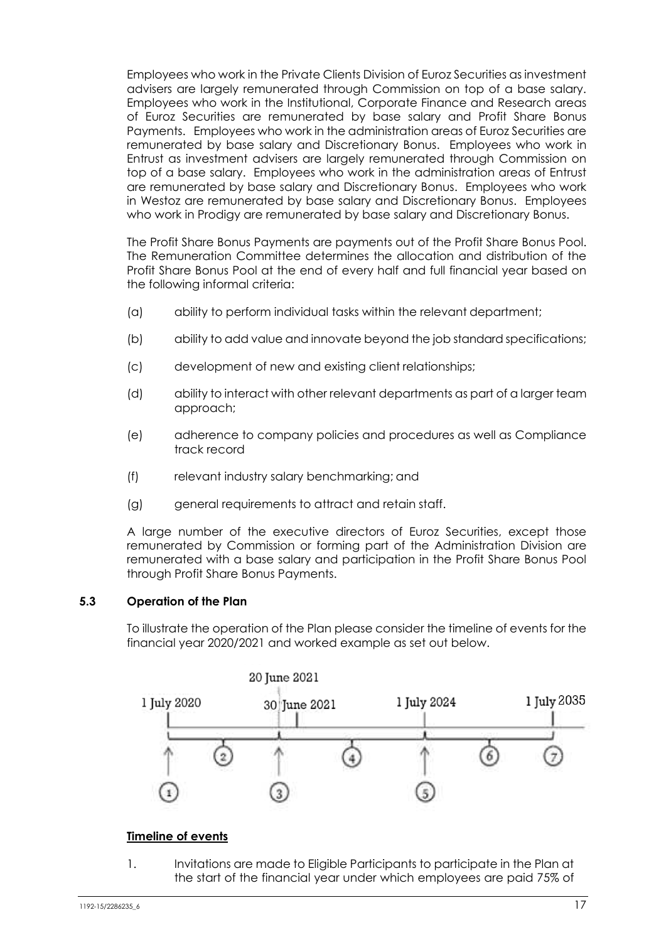Employees who work in the Private Clients Division of Euroz Securities as investment advisers are largely remunerated through Commission on top of a base salary. Employees who work in the Institutional, Corporate Finance and Research areas of Euroz Securities are remunerated by base salary and Profit Share Bonus Payments. Employees who work in the administration areas of Euroz Securities are remunerated by base salary and Discretionary Bonus. Employees who work in Entrust as investment advisers are largely remunerated through Commission on top of a base salary. Employees who work in the administration areas of Entrust are remunerated by base salary and Discretionary Bonus. Employees who work in Westoz are remunerated by base salary and Discretionary Bonus. Employees who work in Prodigy are remunerated by base salary and Discretionary Bonus.

The Profit Share Bonus Payments are payments out of the Profit Share Bonus Pool. The Remuneration Committee determines the allocation and distribution of the Profit Share Bonus Pool at the end of every half and full financial year based on the following informal criteria:

- (a) ability to perform individual tasks within the relevant department;
- (b) ability to add value and innovate beyond the job standard specifications;
- (c) development of new and existing client relationships;
- (d) ability to interact with other relevant departments as part of a larger team approach;
- (e) adherence to company policies and procedures as well as Compliance track record
- (f) relevant industry salary benchmarking; and
- (g) general requirements to attract and retain staff.

A large number of the executive directors of Euroz Securities, except those remunerated by Commission or forming part of the Administration Division are remunerated with a base salary and participation in the Profit Share Bonus Pool through Profit Share Bonus Payments.

#### **5.3 Operation of the Plan**

To illustrate the operation of the Plan please consider the timeline of events for the financial year 2020/2021 and worked example as set out below.



#### **Timeline of events**

1. Invitations are made to Eligible Participants to participate in the Plan at the start of the financial year under which employees are paid 75% of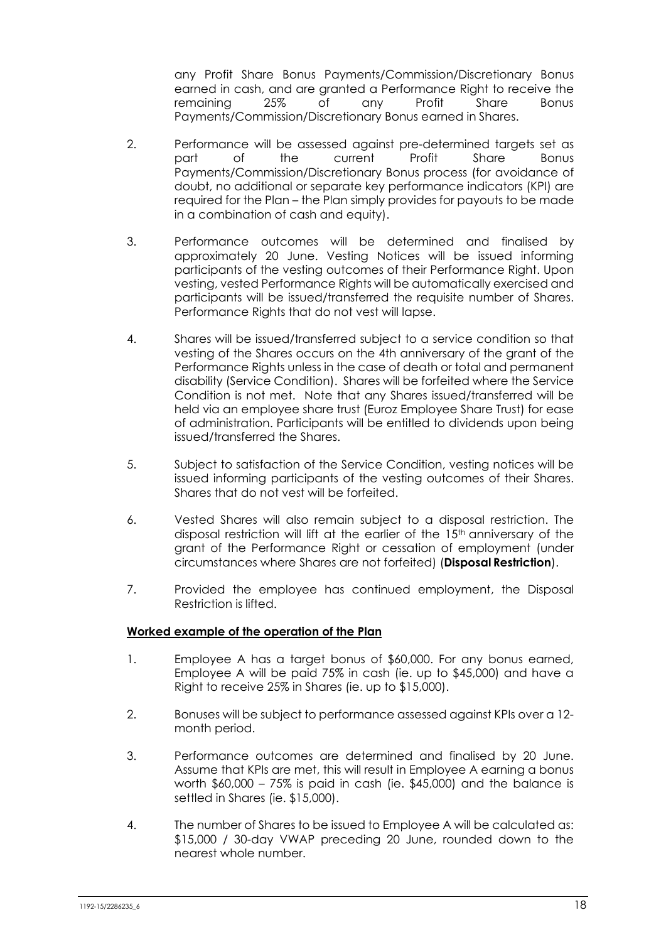any Profit Share Bonus Payments/Commission/Discretionary Bonus earned in cash, and are granted a Performance Right to receive the remaining 25% of any Profit Share Bonus Payments/Commission/Discretionary Bonus earned in Shares.

- 2. Performance will be assessed against pre-determined targets set as part of the current Profit Share Bonus Payments/Commission/Discretionary Bonus process (for avoidance of doubt, no additional or separate key performance indicators (KPI) are required for the Plan – the Plan simply provides for payouts to be made in a combination of cash and equity).
- 3. Performance outcomes will be determined and finalised by approximately 20 June. Vesting Notices will be issued informing participants of the vesting outcomes of their Performance Right. Upon vesting, vested Performance Rights will be automatically exercised and participants will be issued/transferred the requisite number of Shares. Performance Rights that do not vest will lapse.
- 4. Shares will be issued/transferred subject to a service condition so that vesting of the Shares occurs on the 4th anniversary of the grant of the Performance Rights unless in the case of death or total and permanent disability (Service Condition). Shares will be forfeited where the Service Condition is not met. Note that any Shares issued/transferred will be held via an employee share trust (Euroz Employee Share Trust) for ease of administration. Participants will be entitled to dividends upon being issued/transferred the Shares.
- 5. Subject to satisfaction of the Service Condition, vesting notices will be issued informing participants of the vesting outcomes of their Shares. Shares that do not vest will be forfeited.
- 6. Vested Shares will also remain subject to a disposal restriction. The disposal restriction will lift at the earlier of the 15<sup>th</sup> anniversary of the grant of the Performance Right or cessation of employment (under circumstances where Shares are not forfeited) (**Disposal Restriction**).
- 7. Provided the employee has continued employment, the Disposal Restriction is lifted.

#### **Worked example of the operation of the Plan**

- 1. Employee A has a target bonus of \$60,000. For any bonus earned, Employee A will be paid 75% in cash (ie. up to \$45,000) and have a Right to receive 25% in Shares (ie. up to \$15,000).
- 2. Bonuses will be subject to performance assessed against KPIs over a 12 month period.
- 3. Performance outcomes are determined and finalised by 20 June. Assume that KPIs are met, this will result in Employee A earning a bonus worth \$60,000 – 75% is paid in cash (ie. \$45,000) and the balance is settled in Shares (ie. \$15,000).
- 4. The number of Shares to be issued to Employee A will be calculated as: \$15,000 / 30-day VWAP preceding 20 June, rounded down to the nearest whole number.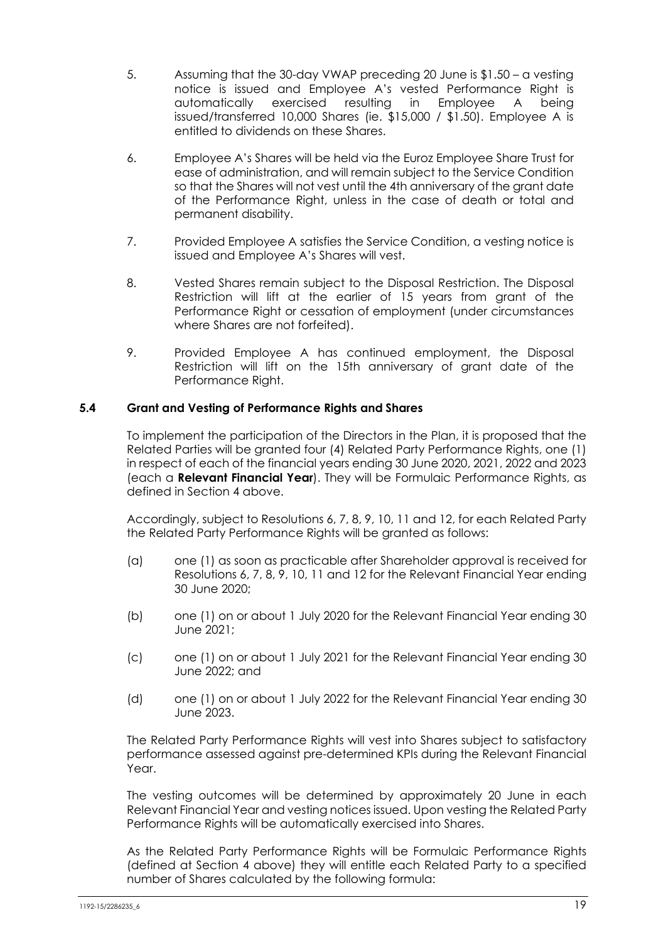- 5. Assuming that the 30-day VWAP preceding 20 June is \$1.50 a vesting notice is issued and Employee A's vested Performance Right is automatically exercised resulting in Employee A being issued/transferred 10,000 Shares (ie. \$15,000 / \$1.50). Employee A is entitled to dividends on these Shares.
- 6. Employee A's Shares will be held via the Euroz Employee Share Trust for ease of administration, and will remain subject to the Service Condition so that the Shares will not vest until the 4th anniversary of the grant date of the Performance Right, unless in the case of death or total and permanent disability.
- 7. Provided Employee A satisfies the Service Condition, a vesting notice is issued and Employee A's Shares will vest.
- 8. Vested Shares remain subject to the Disposal Restriction. The Disposal Restriction will lift at the earlier of 15 years from grant of the Performance Right or cessation of employment (under circumstances where Shares are not forfeited).
- 9. Provided Employee A has continued employment, the Disposal Restriction will lift on the 15th anniversary of grant date of the Performance Right.

#### **5.4 Grant and Vesting of Performance Rights and Shares**

To implement the participation of the Directors in the Plan, it is proposed that the Related Parties will be granted four (4) Related Party Performance Rights, one (1) in respect of each of the financial years ending 30 June 2020, 2021, 2022 and 2023 (each a **Relevant Financial Year**). They will be Formulaic Performance Rights, as defined in Section 4 above.

Accordingly, subject to Resolutions 6, 7, 8, 9, 10, 11 and 12, for each Related Party the Related Party Performance Rights will be granted as follows:

- (a) one (1) as soon as practicable after Shareholder approval is received for Resolutions 6, 7, 8, 9, 10, 11 and 12 for the Relevant Financial Year ending 30 June 2020;
- (b) one (1) on or about 1 July 2020 for the Relevant Financial Year ending 30 June 2021;
- (c) one (1) on or about 1 July 2021 for the Relevant Financial Year ending 30 June 2022; and
- (d) one (1) on or about 1 July 2022 for the Relevant Financial Year ending 30 June 2023.

The Related Party Performance Rights will vest into Shares subject to satisfactory performance assessed against pre-determined KPIs during the Relevant Financial Year

The vesting outcomes will be determined by approximately 20 June in each Relevant Financial Year and vesting notices issued. Upon vesting the Related Party Performance Rights will be automatically exercised into Shares.

As the Related Party Performance Rights will be Formulaic Performance Rights (defined at Section 4 above) they will entitle each Related Party to a specified number of Shares calculated by the following formula: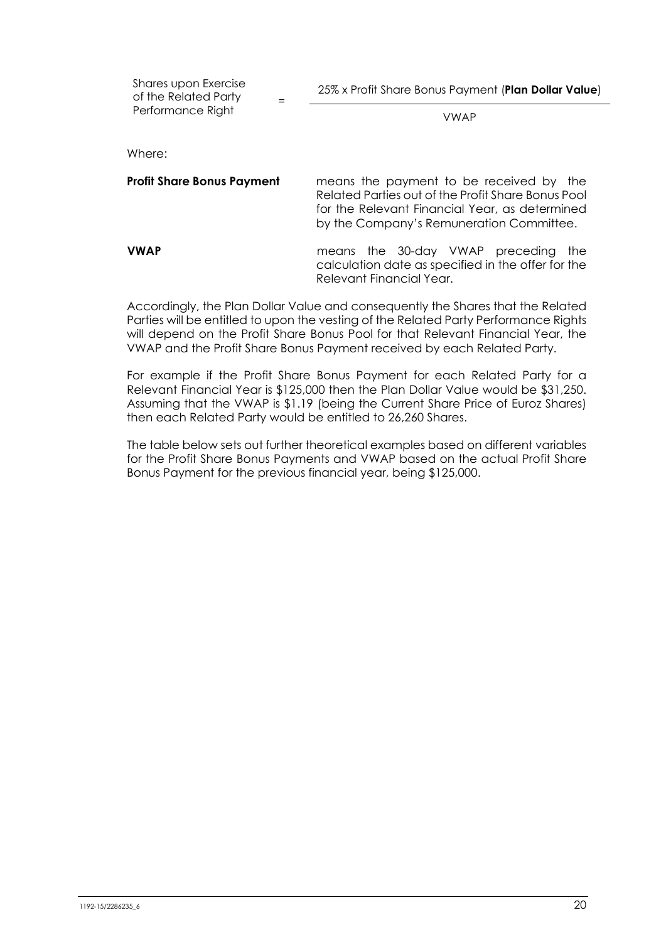Shares upon Exercise of the Related Party Performance Right

=

VWAP

Where:

| <b>Profit Share Bonus Payment</b> | means the payment to be received by the<br>Related Parties out of the Profit Share Bonus Pool<br>for the Relevant Financial Year, as determined<br>by the Company's Remuneration Committee. |
|-----------------------------------|---------------------------------------------------------------------------------------------------------------------------------------------------------------------------------------------|
| <b>VWAP</b>                       | means the 30-day VWAP preceding the<br>calculation date as specified in the offer for the<br>Relevant Financial Year.                                                                       |

Accordingly, the Plan Dollar Value and consequently the Shares that the Related Parties will be entitled to upon the vesting of the Related Party Performance Rights will depend on the Profit Share Bonus Pool for that Relevant Financial Year, the VWAP and the Profit Share Bonus Payment received by each Related Party.

For example if the Profit Share Bonus Payment for each Related Party for a Relevant Financial Year is \$125,000 then the Plan Dollar Value would be \$31,250. Assuming that the VWAP is \$1.19 (being the Current Share Price of Euroz Shares) then each Related Party would be entitled to 26,260 Shares.

The table below sets out further theoretical examples based on different variables for the Profit Share Bonus Payments and VWAP based on the actual Profit Share Bonus Payment for the previous financial year, being \$125,000.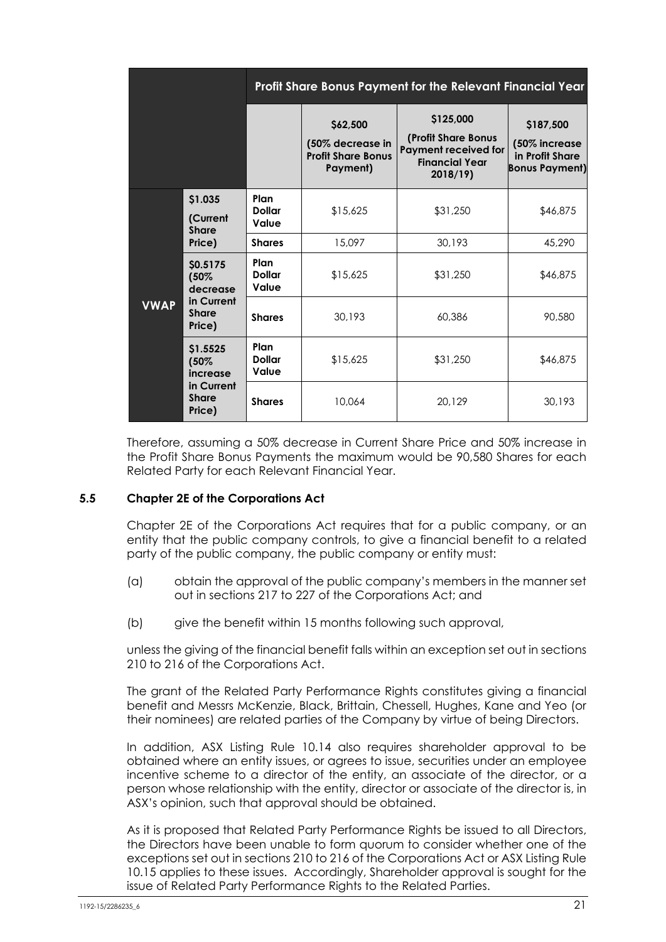|             |                                      |                                |                                                                       | Profit Share Bonus Payment for the Relevant Financial Year                                          |                                                                        |
|-------------|--------------------------------------|--------------------------------|-----------------------------------------------------------------------|-----------------------------------------------------------------------------------------------------|------------------------------------------------------------------------|
|             |                                      |                                | \$62,500<br>(50% decrease in<br><b>Profit Share Bonus</b><br>Payment) | \$125,000<br>(Profit Share Bonus<br><b>Payment received for</b><br><b>Financial Year</b><br>2018/19 | \$187,500<br>(50% increase<br>in Profit Share<br><b>Bonus Payment)</b> |
|             | \$1.035<br>(Current<br><b>Share</b>  | Plan<br><b>Dollar</b><br>Value | \$15,625                                                              | \$31,250                                                                                            | \$46,875                                                               |
|             | Price)                               | <b>Shares</b>                  | 15,097                                                                | 30,193                                                                                              | 45,290                                                                 |
|             | \$0.5175<br>(50%<br>decrease         | Plan<br><b>Dollar</b><br>Value | \$15,625                                                              | \$31,250                                                                                            | \$46,875                                                               |
| <b>VWAP</b> | in Current<br><b>Share</b><br>Price) | <b>Shares</b>                  | 30,193                                                                | 60,386                                                                                              | 90,580                                                                 |
|             | \$1.5525<br>(50%<br>increase         | Plan<br><b>Dollar</b><br>Value | \$15,625                                                              | \$31,250                                                                                            | \$46,875                                                               |
|             | in Current<br><b>Share</b><br>Price) | <b>Shares</b>                  | 10,064                                                                | 20,129                                                                                              | 30,193                                                                 |

Therefore, assuming a 50% decrease in Current Share Price and 50% increase in the Profit Share Bonus Payments the maximum would be 90,580 Shares for each Related Party for each Relevant Financial Year.

#### **5.5 Chapter 2E of the Corporations Act**

Chapter 2E of the Corporations Act requires that for a public company, or an entity that the public company controls, to give a financial benefit to a related party of the public company, the public company or entity must:

- (a) obtain the approval of the public company's members in the manner set out in sections 217 to 227 of the Corporations Act; and
- (b) give the benefit within 15 months following such approval,

unless the giving of the financial benefit falls within an exception set out in sections 210 to 216 of the Corporations Act.

The grant of the Related Party Performance Rights constitutes giving a financial benefit and Messrs McKenzie, Black, Brittain, Chessell, Hughes, Kane and Yeo (or their nominees) are related parties of the Company by virtue of being Directors.

In addition, ASX Listing Rule 10.14 also requires shareholder approval to be obtained where an entity issues, or agrees to issue, securities under an employee incentive scheme to a director of the entity, an associate of the director, or a person whose relationship with the entity, director or associate of the director is, in ASX's opinion, such that approval should be obtained.

As it is proposed that Related Party Performance Rights be issued to all Directors, the Directors have been unable to form quorum to consider whether one of the exceptions set out in sections 210 to 216 of the Corporations Act or ASX Listing Rule 10.15 applies to these issues. Accordingly, Shareholder approval is sought for the issue of Related Party Performance Rights to the Related Parties.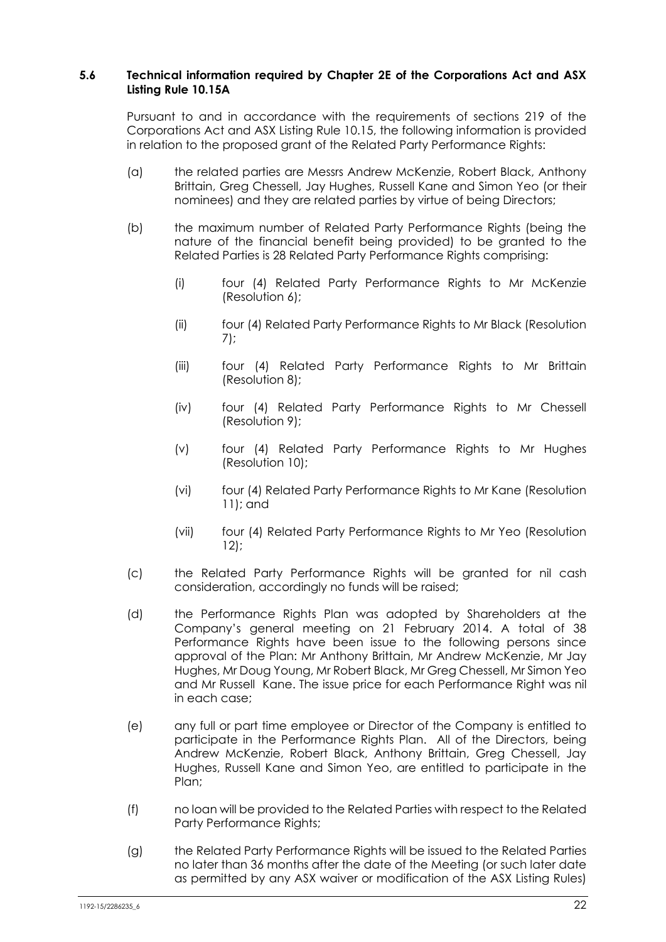#### **5.6 Technical information required by Chapter 2E of the Corporations Act and ASX Listing Rule 10.15A**

Pursuant to and in accordance with the requirements of sections 219 of the Corporations Act and ASX Listing Rule 10.15, the following information is provided in relation to the proposed grant of the Related Party Performance Rights:

- (a) the related parties are Messrs Andrew McKenzie, Robert Black, Anthony Brittain, Greg Chessell, Jay Hughes, Russell Kane and Simon Yeo (or their nominees) and they are related parties by virtue of being Directors;
- (b) the maximum number of Related Party Performance Rights (being the nature of the financial benefit being provided) to be granted to the Related Parties is 28 Related Party Performance Rights comprising:
	- (i) four (4) Related Party Performance Rights to Mr McKenzie (Resolution 6);
	- (ii) four (4) Related Party Performance Rights to Mr Black (Resolution 7);
	- (iii) four (4) Related Party Performance Rights to Mr Brittain (Resolution 8);
	- (iv) four (4) Related Party Performance Rights to Mr Chessell (Resolution 9);
	- (v) four (4) Related Party Performance Rights to Mr Hughes (Resolution 10);
	- (vi) four (4) Related Party Performance Rights to Mr Kane (Resolution 11); and
	- (vii) four (4) Related Party Performance Rights to Mr Yeo (Resolution 12);
- (c) the Related Party Performance Rights will be granted for nil cash consideration, accordingly no funds will be raised;
- (d) the Performance Rights Plan was adopted by Shareholders at the Company's general meeting on 21 February 2014. A total of 38 Performance Rights have been issue to the following persons since approval of the Plan: Mr Anthony Brittain, Mr Andrew McKenzie, Mr Jay Hughes, Mr Doug Young, Mr Robert Black, Mr Greg Chessell, Mr Simon Yeo and Mr Russell Kane. The issue price for each Performance Right was nil in each case;
- (e) any full or part time employee or Director of the Company is entitled to participate in the Performance Rights Plan. All of the Directors, being Andrew McKenzie, Robert Black, Anthony Brittain, Greg Chessell, Jay Hughes, Russell Kane and Simon Yeo, are entitled to participate in the Plan;
- (f) no loan will be provided to the Related Parties with respect to the Related Party Performance Rights;
- (g) the Related Party Performance Rights will be issued to the Related Parties no later than 36 months after the date of the Meeting (or such later date as permitted by any ASX waiver or modification of the ASX Listing Rules)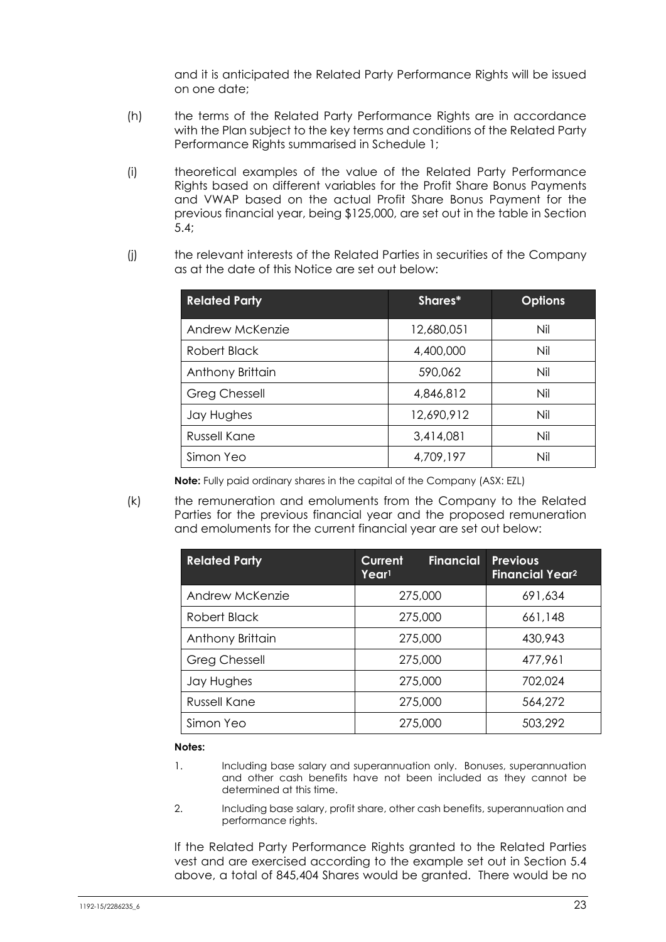and it is anticipated the Related Party Performance Rights will be issued on one date;

- (h) the terms of the Related Party Performance Rights are in accordance with the Plan subject to the key terms and conditions of the Related Party Performance Rights summarised in Schedule 1;
- (i) theoretical examples of the value of the Related Party Performance Rights based on different variables for the Profit Share Bonus Payments and VWAP based on the actual Profit Share Bonus Payment for the previous financial year, being \$125,000, are set out in the table in Section 5.4;
- (j) the relevant interests of the Related Parties in securities of the Company as at the date of this Notice are set out below:

| <b>Related Party</b> | Shares*    | <b>Options</b> |
|----------------------|------------|----------------|
| Andrew McKenzie      | 12,680,051 | Nil            |
| Robert Black         | 4,400,000  | Nil            |
| Anthony Brittain     | 590,062    | Nil            |
| <b>Greg Chessell</b> | 4,846,812  | Nil            |
| Jay Hughes           | 12,690,912 | Nil            |
| Russell Kane         | 3,414,081  | Nil            |
| Simon Yeo            | 4,709,197  | Nil            |

**Note:** Fully paid ordinary shares in the capital of the Company (ASX: EZL)

(k) the remuneration and emoluments from the Company to the Related Parties for the previous financial year and the proposed remuneration and emoluments for the current financial year are set out below:

| <b>Related Party</b> | <b>Current</b><br><b>Financial</b><br>Year <sup>1</sup> | <b>Previous</b><br><b>Financial Year2</b> |
|----------------------|---------------------------------------------------------|-------------------------------------------|
| Andrew McKenzie      | 275,000                                                 | 691,634                                   |
| Robert Black         | 275,000                                                 | 661,148                                   |
| Anthony Brittain     | 275,000                                                 | 430,943                                   |
| <b>Greg Chessell</b> | 275,000                                                 | 477,961                                   |
| Jay Hughes           | 275,000                                                 | 702,024                                   |
| Russell Kane         | 275,000                                                 | 564,272                                   |
| Simon Yeo            | 275,000                                                 | 503,292                                   |

#### **Notes:**

- 1. Including base salary and superannuation only. Bonuses, superannuation and other cash benefits have not been included as they cannot be determined at this time.
- 2. Including base salary, profit share, other cash benefits, superannuation and performance rights.

If the Related Party Performance Rights granted to the Related Parties vest and are exercised according to the example set out in Section 5.4 above, a total of 845,404 Shares would be granted. There would be no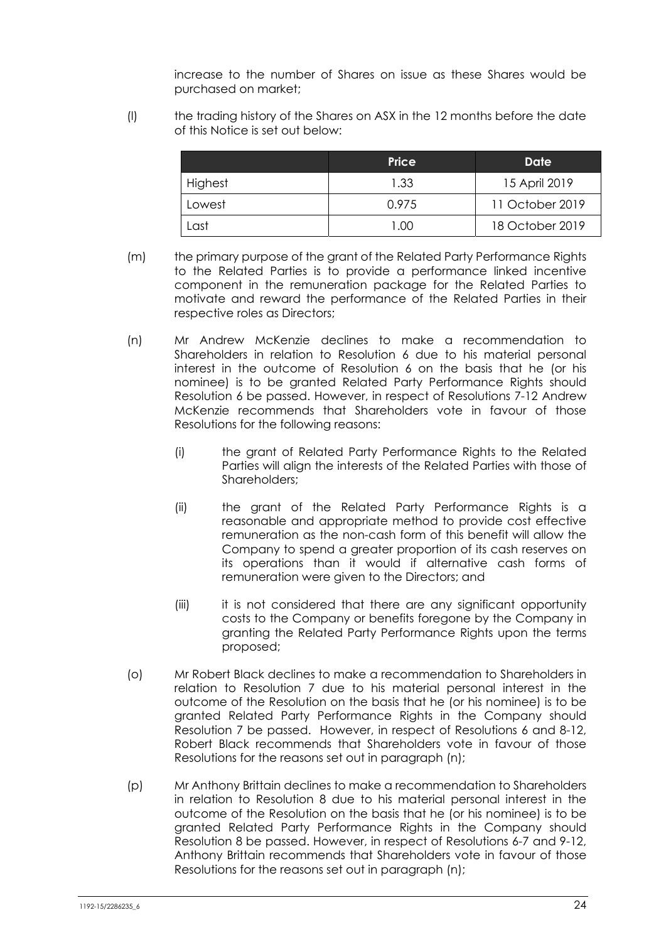increase to the number of Shares on issue as these Shares would be purchased on market;

(l) the trading history of the Shares on ASX in the 12 months before the date of this Notice is set out below:

|         | Price             | Date            |
|---------|-------------------|-----------------|
| Highest | 1.33              | 15 April 2019   |
| Lowest  | 0.975             | 11 October 2019 |
| ast     | 1.00 <sub>1</sub> | 18 October 2019 |

- (m) the primary purpose of the grant of the Related Party Performance Rights to the Related Parties is to provide a performance linked incentive component in the remuneration package for the Related Parties to motivate and reward the performance of the Related Parties in their respective roles as Directors;
- (n) Mr Andrew McKenzie declines to make a recommendation to Shareholders in relation to Resolution 6 due to his material personal interest in the outcome of Resolution 6 on the basis that he (or his nominee) is to be granted Related Party Performance Rights should Resolution 6 be passed. However, in respect of Resolutions 7-12 Andrew McKenzie recommends that Shareholders vote in favour of those Resolutions for the following reasons:
	- (i) the grant of Related Party Performance Rights to the Related Parties will align the interests of the Related Parties with those of Shareholders;
	- (ii) the grant of the Related Party Performance Rights is a reasonable and appropriate method to provide cost effective remuneration as the non-cash form of this benefit will allow the Company to spend a greater proportion of its cash reserves on its operations than it would if alternative cash forms of remuneration were given to the Directors; and
	- (iii) it is not considered that there are any significant opportunity costs to the Company or benefits foregone by the Company in granting the Related Party Performance Rights upon the terms proposed;
- (o) Mr Robert Black declines to make a recommendation to Shareholders in relation to Resolution 7 due to his material personal interest in the outcome of the Resolution on the basis that he (or his nominee) is to be granted Related Party Performance Rights in the Company should Resolution 7 be passed. However, in respect of Resolutions 6 and 8-12, Robert Black recommends that Shareholders vote in favour of those Resolutions for the reasons set out in paragraph (n);
- (p) Mr Anthony Brittain declines to make a recommendation to Shareholders in relation to Resolution 8 due to his material personal interest in the outcome of the Resolution on the basis that he (or his nominee) is to be granted Related Party Performance Rights in the Company should Resolution 8 be passed. However, in respect of Resolutions 6-7 and 9-12, Anthony Brittain recommends that Shareholders vote in favour of those Resolutions for the reasons set out in paragraph (n);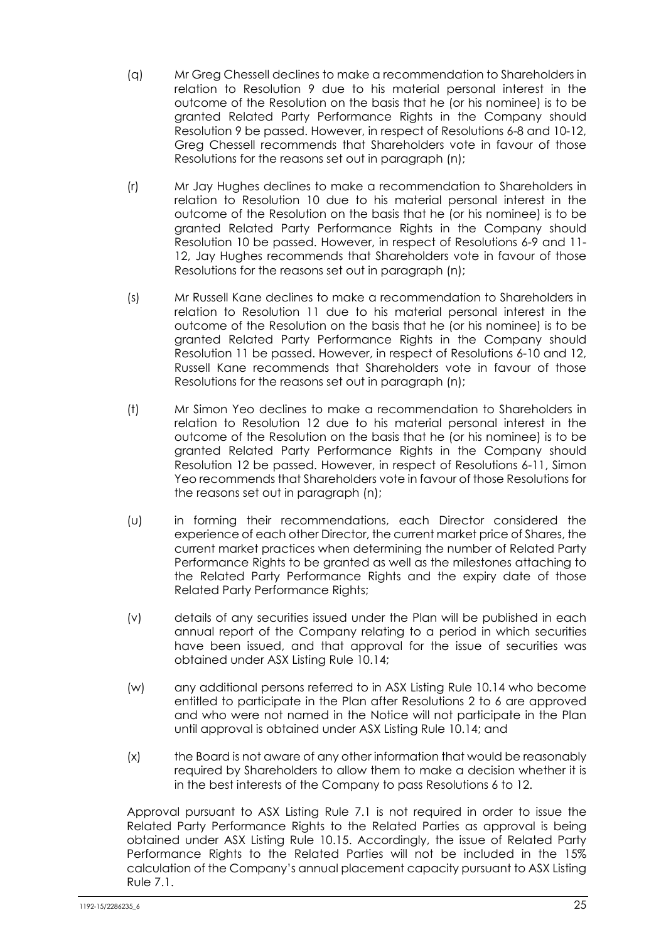- (q) Mr Greg Chessell declines to make a recommendation to Shareholders in relation to Resolution 9 due to his material personal interest in the outcome of the Resolution on the basis that he (or his nominee) is to be granted Related Party Performance Rights in the Company should Resolution 9 be passed. However, in respect of Resolutions 6-8 and 10-12, Greg Chessell recommends that Shareholders vote in favour of those Resolutions for the reasons set out in paragraph (n);
- (r) Mr Jay Hughes declines to make a recommendation to Shareholders in relation to Resolution 10 due to his material personal interest in the outcome of the Resolution on the basis that he (or his nominee) is to be granted Related Party Performance Rights in the Company should Resolution 10 be passed. However, in respect of Resolutions 6-9 and 11- 12, Jay Hughes recommends that Shareholders vote in favour of those Resolutions for the reasons set out in paragraph (n);
- (s) Mr Russell Kane declines to make a recommendation to Shareholders in relation to Resolution 11 due to his material personal interest in the outcome of the Resolution on the basis that he (or his nominee) is to be granted Related Party Performance Rights in the Company should Resolution 11 be passed. However, in respect of Resolutions 6-10 and 12, Russell Kane recommends that Shareholders vote in favour of those Resolutions for the reasons set out in paragraph (n);
- (t) Mr Simon Yeo declines to make a recommendation to Shareholders in relation to Resolution 12 due to his material personal interest in the outcome of the Resolution on the basis that he (or his nominee) is to be granted Related Party Performance Rights in the Company should Resolution 12 be passed. However, in respect of Resolutions 6-11, Simon Yeo recommends that Shareholders vote in favour of those Resolutions for the reasons set out in paragraph (n);
- (u) in forming their recommendations, each Director considered the experience of each other Director, the current market price of Shares, the current market practices when determining the number of Related Party Performance Rights to be granted as well as the milestones attaching to the Related Party Performance Rights and the expiry date of those Related Party Performance Rights;
- (v) details of any securities issued under the Plan will be published in each annual report of the Company relating to a period in which securities have been issued, and that approval for the issue of securities was obtained under ASX Listing Rule 10.14;
- (w) any additional persons referred to in ASX Listing Rule 10.14 who become entitled to participate in the Plan after Resolutions 2 to 6 are approved and who were not named in the Notice will not participate in the Plan until approval is obtained under ASX Listing Rule 10.14; and
- (x) the Board is not aware of any other information that would be reasonably required by Shareholders to allow them to make a decision whether it is in the best interests of the Company to pass Resolutions 6 to 12.

Approval pursuant to ASX Listing Rule 7.1 is not required in order to issue the Related Party Performance Rights to the Related Parties as approval is being obtained under ASX Listing Rule 10.15. Accordingly, the issue of Related Party Performance Rights to the Related Parties will not be included in the 15% calculation of the Company's annual placement capacity pursuant to ASX Listing Rule 7.1.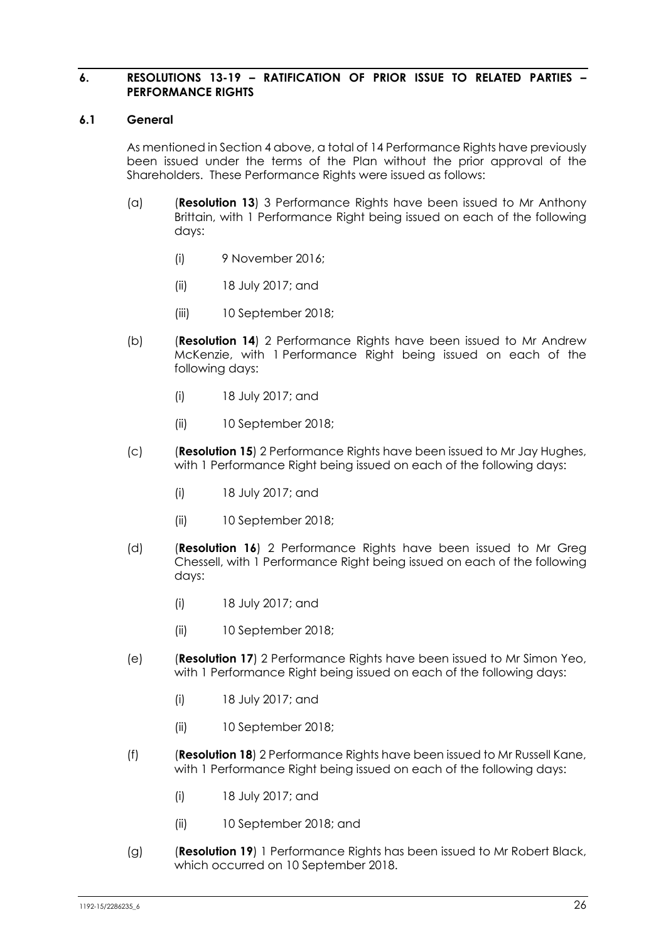#### **6. RESOLUTIONS 13-19 – RATIFICATION OF PRIOR ISSUE TO RELATED PARTIES – PERFORMANCE RIGHTS**

#### **6.1 General**

As mentioned in Section 4 above, a total of 14 Performance Rights have previously been issued under the terms of the Plan without the prior approval of the Shareholders. These Performance Rights were issued as follows:

- (a) (**Resolution 13**) 3 Performance Rights have been issued to Mr Anthony Brittain, with 1 Performance Right being issued on each of the following days:
	- (i) 9 November 2016;
	- (ii) 18 July 2017; and
	- (iii) 10 September 2018;
- (b) (**Resolution 14**) 2 Performance Rights have been issued to Mr Andrew McKenzie, with 1 Performance Right being issued on each of the following days:
	- (i) 18 July 2017; and
	- (ii) 10 September 2018;
- (c) (**Resolution 15**) 2 Performance Rights have been issued to Mr Jay Hughes, with 1 Performance Right being issued on each of the following days:
	- (i) 18 July 2017; and
	- (ii) 10 September 2018;
- (d) (**Resolution 16**) 2 Performance Rights have been issued to Mr Greg Chessell, with 1 Performance Right being issued on each of the following days:
	- (i) 18 July 2017; and
	- (ii) 10 September 2018;
- (e) (**Resolution 17**) 2 Performance Rights have been issued to Mr Simon Yeo, with 1 Performance Right being issued on each of the following days:
	- (i) 18 July 2017; and
	- (ii) 10 September 2018;
- (f) (**Resolution 18**) 2 Performance Rights have been issued to Mr Russell Kane, with 1 Performance Right being issued on each of the following days:
	- (i) 18 July 2017; and
	- (ii) 10 September 2018; and
- (g) (**Resolution 19**) 1 Performance Rights has been issued to Mr Robert Black, which occurred on 10 September 2018.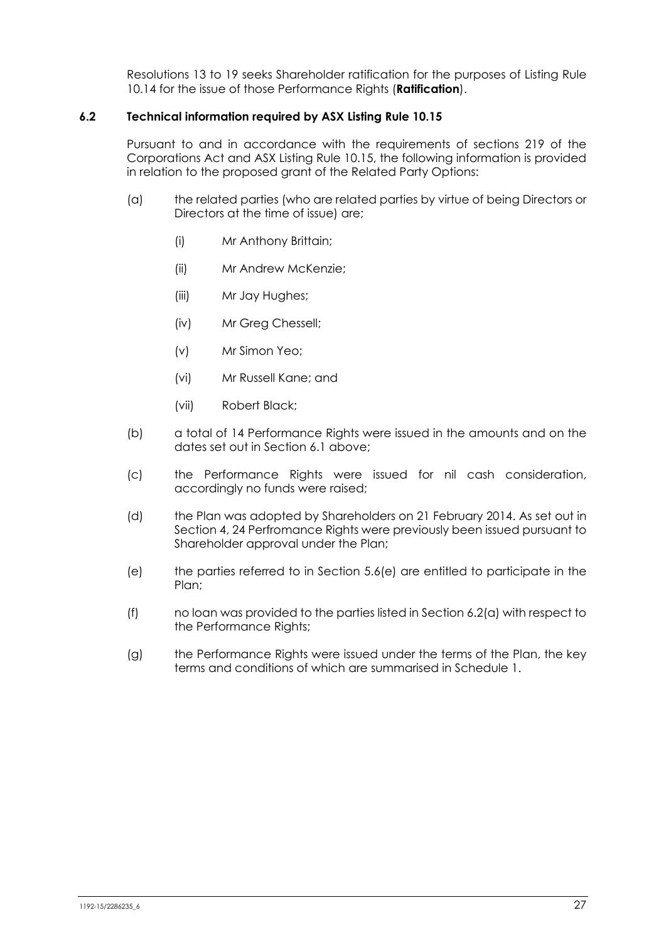Resolutions 13 to 19 seeks Shareholder ratification for the purposes of Listing Rule 10.14 for the issue of those Performance Rights (**Ratification**).

#### **6.2 Technical information required by ASX Listing Rule 10.15**

Pursuant to and in accordance with the requirements of sections 219 of the Corporations Act and ASX Listing Rule 10.15, the following information is provided in relation to the proposed grant of the Related Party Options:

- (a) the related parties (who are related parties by virtue of being Directors or Directors at the time of issue) are;
	- (i) Mr Anthony Brittain;
	- (ii) Mr Andrew McKenzie;
	- (iii) Mr Jay Hughes;
	- (iv) Mr Greg Chessell;
	- (v) Mr Simon Yeo;
	- (vi) Mr Russell Kane; and
	- (vii) Robert Black;
- (b) a total of 14 Performance Rights were issued in the amounts and on the dates set out in Section 6.1 above;
- (c) the Performance Rights were issued for nil cash consideration, accordingly no funds were raised;
- (d) the Plan was adopted by Shareholders on 21 February 2014. As set out in Section 4, 24 Perfromance Rights were previously been issued pursuant to Shareholder approval under the Plan;
- (e) the parties referred to in Section 5.6(e) are entitled to participate in the Plan;
- (f) no loan was provided to the parties listed in Section 6.2(a) with respect to the Performance Rights;
- (g) the Performance Rights were issued under the terms of the Plan, the key terms and conditions of which are summarised in Schedule 1.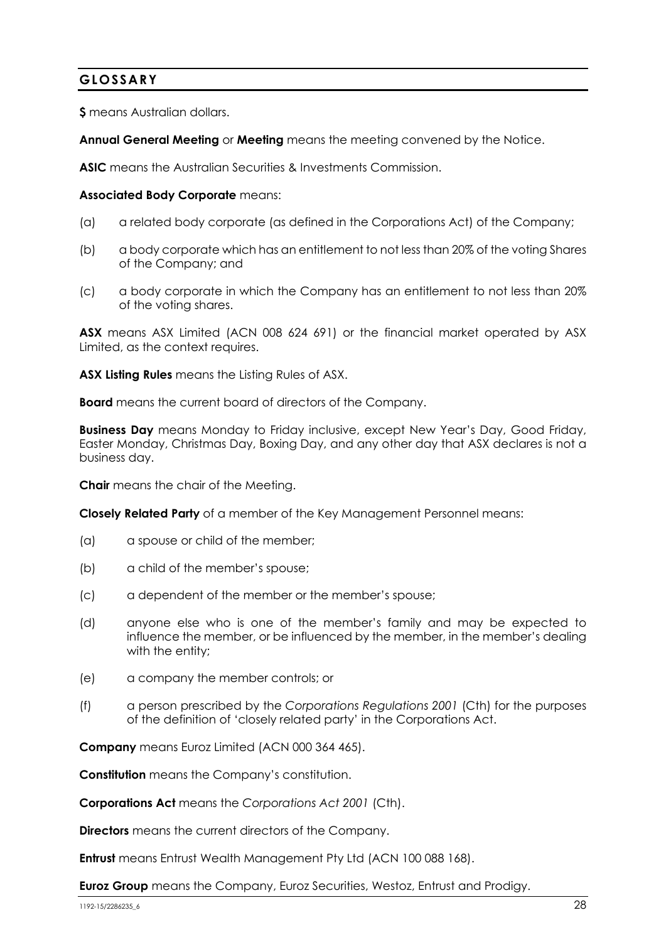# **GLOSSARY**

**\$** means Australian dollars.

**Annual General Meeting** or **Meeting** means the meeting convened by the Notice.

**ASIC** means the Australian Securities & Investments Commission.

#### **Associated Body Corporate** means:

- (a) a related body corporate (as defined in the Corporations Act) of the Company;
- (b) a body corporate which has an entitlement to not less than 20% of the voting Shares of the Company; and
- (c) a body corporate in which the Company has an entitlement to not less than 20% of the voting shares.

**ASX** means ASX Limited (ACN 008 624 691) or the financial market operated by ASX Limited, as the context requires.

**ASX Listing Rules** means the Listing Rules of ASX.

**Board** means the current board of directors of the Company.

**Business Day** means Monday to Friday inclusive, except New Year's Day, Good Friday, Easter Monday, Christmas Day, Boxing Day, and any other day that ASX declares is not a business day.

**Chair** means the chair of the Meeting.

**Closely Related Party** of a member of the Key Management Personnel means:

- (a) a spouse or child of the member;
- (b) a child of the member's spouse;
- (c) a dependent of the member or the member's spouse;
- (d) anyone else who is one of the member's family and may be expected to influence the member, or be influenced by the member, in the member's dealing with the entity;
- (e) a company the member controls; or
- (f) a person prescribed by the *Corporations Regulations 2001* (Cth) for the purposes of the definition of 'closely related party' in the Corporations Act.

**Company** means Euroz Limited (ACN 000 364 465).

**Constitution** means the Company's constitution.

**Corporations Act** means the *Corporations Act 2001* (Cth).

**Directors** means the current directors of the Company.

**Entrust** means Entrust Wealth Management Pty Ltd (ACN 100 088 168).

**Euroz Group** means the Company, Euroz Securities, Westoz, Entrust and Prodigy.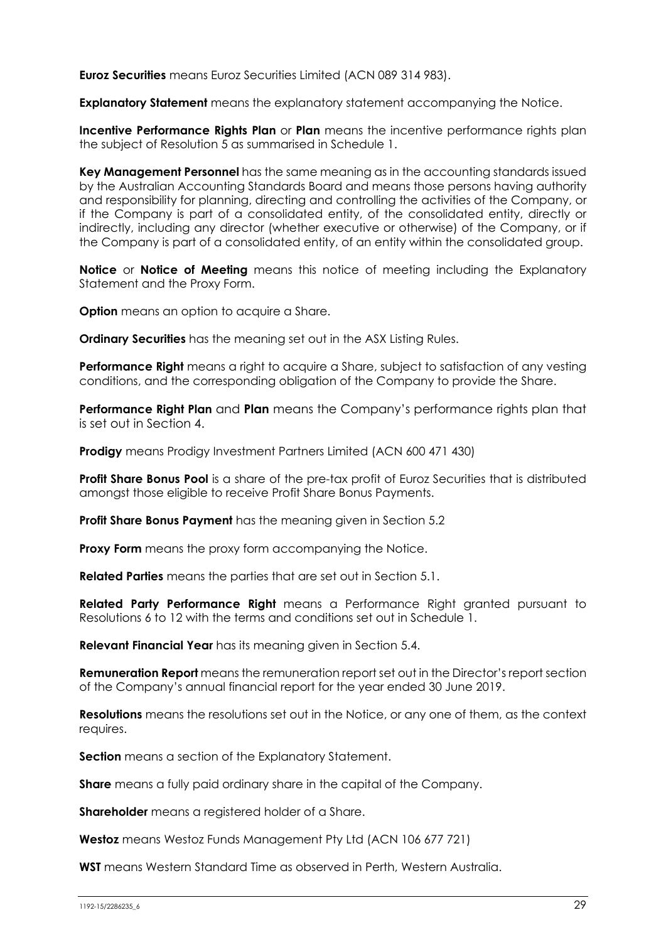**Euroz Securities** means Euroz Securities Limited (ACN 089 314 983).

**Explanatory Statement** means the explanatory statement accompanying the Notice.

**Incentive Performance Rights Plan** or Plan means the incentive performance rights plan the subject of Resolution 5 as summarised in Schedule 1.

**Key Management Personnel** has the same meaning as in the accounting standards issued by the Australian Accounting Standards Board and means those persons having authority and responsibility for planning, directing and controlling the activities of the Company, or if the Company is part of a consolidated entity, of the consolidated entity, directly or indirectly, including any director (whether executive or otherwise) of the Company, or if the Company is part of a consolidated entity, of an entity within the consolidated group.

**Notice** or **Notice of Meeting** means this notice of meeting including the Explanatory Statement and the Proxy Form.

**Option** means an option to acquire a Share.

**Ordinary Securities** has the meaning set out in the ASX Listing Rules.

**Performance Right** means a right to acquire a Share, subject to satisfaction of any vesting conditions, and the corresponding obligation of the Company to provide the Share.

**Performance Right Plan** and **Plan** means the Company's performance rights plan that is set out in Section 4.

**Prodigy** means Prodigy Investment Partners Limited (ACN 600 471 430)

**Profit Share Bonus Pool** is a share of the pre-tax profit of Euroz Securities that is distributed amongst those eligible to receive Profit Share Bonus Payments.

**Profit Share Bonus Payment** has the meaning given in Section 5.2

**Proxy Form** means the proxy form accompanying the Notice.

**Related Parties** means the parties that are set out in Section 5.1.

**Related Party Performance Right** means a Performance Right granted pursuant to Resolutions 6 to 12 with the terms and conditions set out in Schedule 1.

**Relevant Financial Year** has its meaning given in Section 5.4.

**Remuneration Report** means the remuneration report set out in the Director's report section of the Company's annual financial report for the year ended 30 June 2019.

**Resolutions** means the resolutions set out in the Notice, or any one of them, as the context requires.

**Section** means a section of the Explanatory Statement.

**Share** means a fully paid ordinary share in the capital of the Company.

**Shareholder** means a registered holder of a Share.

**Westoz** means Westoz Funds Management Pty Ltd (ACN 106 677 721)

**WST** means Western Standard Time as observed in Perth, Western Australia.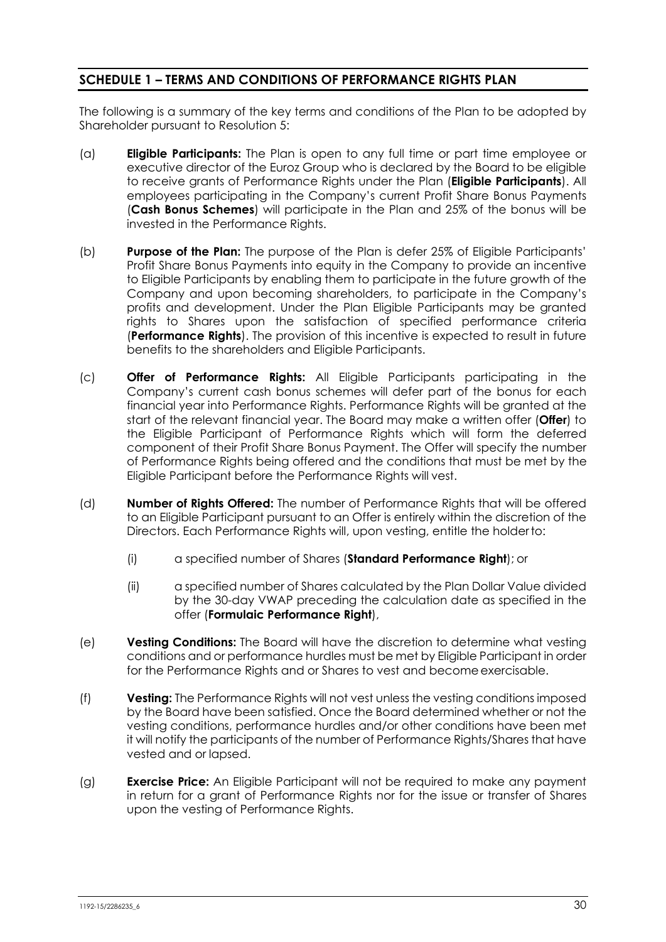# **SCHEDULE 1 – TERMS AND CONDITIONS OF PERFORMANCE RIGHTS PLAN**

The following is a summary of the key terms and conditions of the Plan to be adopted by Shareholder pursuant to Resolution 5:

- (a) **Eligible Participants:** The Plan is open to any full time or part time employee or executive director of the Euroz Group who is declared by the Board to be eligible to receive grants of Performance Rights under the Plan (**Eligible Participants**). All employees participating in the Company's current Profit Share Bonus Payments (**Cash Bonus Schemes**) will participate in the Plan and 25% of the bonus will be invested in the Performance Rights.
- (b) **Purpose of the Plan:** The purpose of the Plan is defer 25% of Eligible Participants' Profit Share Bonus Payments into equity in the Company to provide an incentive to Eligible Participants by enabling them to participate in the future growth of the Company and upon becoming shareholders, to participate in the Company's profits and development. Under the Plan Eligible Participants may be granted rights to Shares upon the satisfaction of specified performance criteria (**Performance Rights**). The provision of this incentive is expected to result in future benefits to the shareholders and Eligible Participants.
- (c) **Offer of Performance Rights:** All Eligible Participants participating in the Company's current cash bonus schemes will defer part of the bonus for each financial year into Performance Rights. Performance Rights will be granted at the start of the relevant financial year. The Board may make a written offer (**Offer**) to the Eligible Participant of Performance Rights which will form the deferred component of their Profit Share Bonus Payment. The Offer will specify the number of Performance Rights being offered and the conditions that must be met by the Eligible Participant before the Performance Rights will vest.
- (d) **Number of Rights Offered:** The number of Performance Rights that will be offered to an Eligible Participant pursuant to an Offer is entirely within the discretion of the Directors. Each Performance Rights will, upon vesting, entitle the holder to:
	- (i) a specified number of Shares (**Standard Performance Right**); or
	- (ii) a specified number of Shares calculated by the Plan Dollar Value divided by the 30-day VWAP preceding the calculation date as specified in the offer (**Formulaic Performance Right**),
- (e) **Vesting Conditions:** The Board will have the discretion to determine what vesting conditions and or performance hurdles must be met by Eligible Participant in order for the Performance Rights and or Shares to vest and become exercisable.
- (f) **Vesting:** The Performance Rights will not vest unless the vesting conditions imposed by the Board have been satisfied. Once the Board determined whether or not the vesting conditions, performance hurdles and/or other conditions have been met it will notify the participants of the number of Performance Rights/Shares that have vested and or lapsed.
- (g) **Exercise Price:** An Eligible Participant will not be required to make any payment in return for a grant of Performance Rights nor for the issue or transfer of Shares upon the vesting of Performance Rights.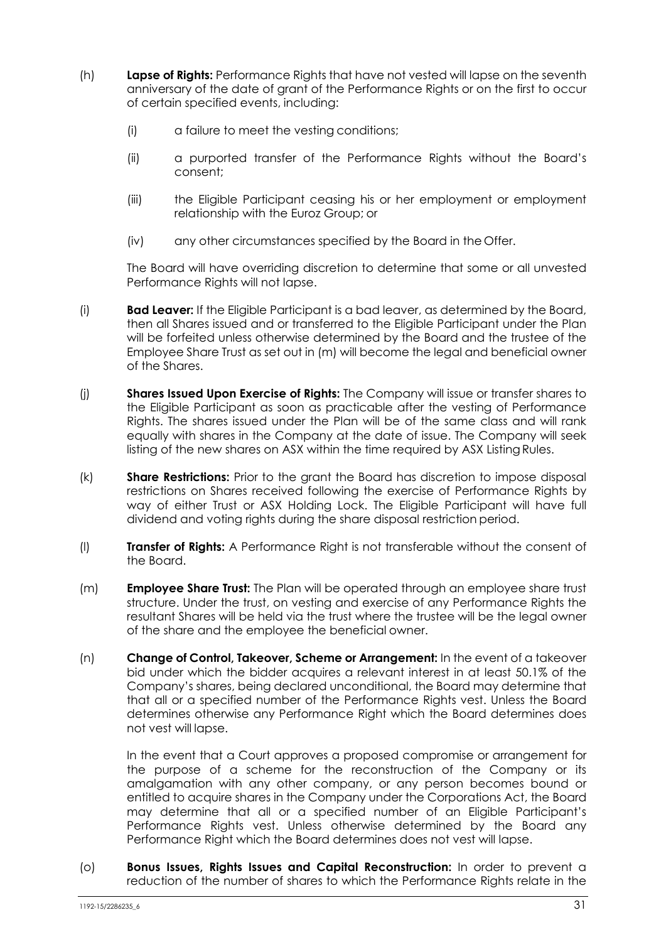- (h) **Lapse of Rights:** Performance Rights that have not vested will lapse on the seventh anniversary of the date of grant of the Performance Rights or on the first to occur of certain specified events, including:
	- (i) a failure to meet the vesting conditions;
	- (ii) a purported transfer of the Performance Rights without the Board's consent;
	- (iii) the Eligible Participant ceasing his or her employment or employment relationship with the Euroz Group; or
	- (iv) any other circumstances specified by the Board in the Offer.

The Board will have overriding discretion to determine that some or all unvested Performance Rights will not lapse.

- (i) **Bad Leaver:** If the Eligible Participant is a bad leaver, as determined by the Board, then all Shares issued and or transferred to the Eligible Participant under the Plan will be forfeited unless otherwise determined by the Board and the trustee of the Employee Share Trust as set out in (m) will become the legal and beneficial owner of the Shares.
- (j) **Shares Issued Upon Exercise of Rights:** The Company will issue or transfer shares to the Eligible Participant as soon as practicable after the vesting of Performance Rights. The shares issued under the Plan will be of the same class and will rank equally with shares in the Company at the date of issue. The Company will seek listing of the new shares on ASX within the time required by ASX Listing Rules.
- (k) **Share Restrictions:** Prior to the grant the Board has discretion to impose disposal restrictions on Shares received following the exercise of Performance Rights by way of either Trust or ASX Holding Lock. The Eligible Participant will have full dividend and voting rights during the share disposal restriction period.
- (l) **Transfer of Rights:** A Performance Right is not transferable without the consent of the Board.
- (m) **Employee Share Trust:** The Plan will be operated through an employee share trust structure. Under the trust, on vesting and exercise of any Performance Rights the resultant Shares will be held via the trust where the trustee will be the legal owner of the share and the employee the beneficial owner.
- (n) **Change of Control, Takeover, Scheme or Arrangement:** In the event of a takeover bid under which the bidder acquires a relevant interest in at least 50.1% of the Company's shares, being declared unconditional, the Board may determine that that all or a specified number of the Performance Rights vest. Unless the Board determines otherwise any Performance Right which the Board determines does not vest will lapse.

In the event that a Court approves a proposed compromise or arrangement for the purpose of a scheme for the reconstruction of the Company or its amalgamation with any other company, or any person becomes bound or entitled to acquire shares in the Company under the Corporations Act, the Board may determine that all or a specified number of an Eligible Participant's Performance Rights vest. Unless otherwise determined by the Board any Performance Right which the Board determines does not vest will lapse.

(o) **Bonus Issues, Rights Issues and Capital Reconstruction:** In order to prevent a reduction of the number of shares to which the Performance Rights relate in the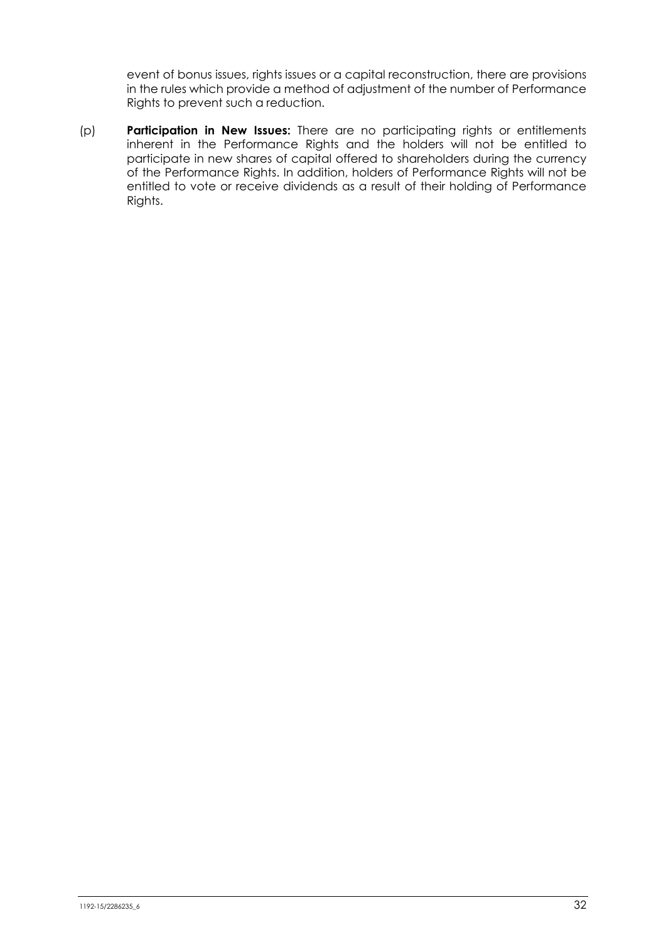event of bonus issues, rights issues or a capital reconstruction, there are provisions in the rules which provide a method of adjustment of the number of Performance Rights to prevent such a reduction.

(p) **Participation in New Issues:** There are no participating rights or entitlements inherent in the Performance Rights and the holders will not be entitled to participate in new shares of capital offered to shareholders during the currency of the Performance Rights. In addition, holders of Performance Rights will not be entitled to vote or receive dividends as a result of their holding of Performance Rights.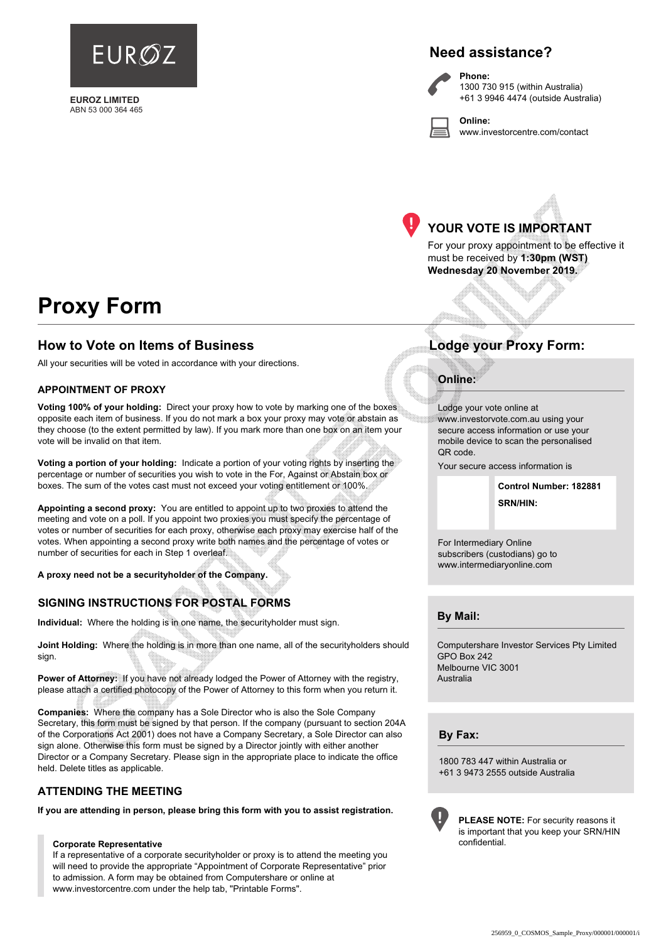

**EUROZ LIMITED** ABN 53 000 364 465

# **Need assistance?**

**Phone:**

**Online:**



1300 730 915 (within Australia) +61 3 9946 4474 (outside Australia)

www.investorcentre.com/contact



# **YOUR VOTE IS IMPORTANT**

For your proxy appointment to be effective it must be received by **1:30pm (WST) Wednesday 20 November 2019.**

# **Proxy Form**

### **How to Vote on Items of Business Lodge your Proxy Form:**

All your securities will be voted in accordance with your directions.

#### **APPOINTMENT OF PROXY**

**Voting 100% of your holding:** Direct your proxy how to vote by marking one of the boxes opposite each item of business. If you do not mark a box your proxy may vote or abstain as they choose (to the extent permitted by law). If you mark more than one box on an item your vote will be invalid on that item.

**Voting a portion of your holding:** Indicate a portion of your voting rights by inserting the percentage or number of securities you wish to vote in the For, Against or Abstain box or boxes. The sum of the votes cast must not exceed your voting entitlement or 100%.

**Appointing a second proxy:** You are entitled to appoint up to two proxies to attend the meeting and vote on a poll. If you appoint two proxies you must specify the percentage of votes or number of securities for each proxy, otherwise each proxy may exercise half of the votes. When appointing a second proxy write both names and the percentage of votes or number of securities for each in Step 1 overleaf.

**A proxy need not be a securityholder of the Company.**

#### **SIGNING INSTRUCTIONS FOR POSTAL FORMS**

**Individual:** Where the holding is in one name, the securityholder must sign.

**Joint Holding:** Where the holding is in more than one name, all of the securityholders should sign.

**Power of Attorney:** If you have not already lodged the Power of Attorney with the registry, please attach a certified photocopy of the Power of Attorney to this form when you return it.

**Companies:** Where the company has a Sole Director who is also the Sole Company Secretary, this form must be signed by that person. If the company (pursuant to section 204A of the Corporations Act 2001) does not have a Company Secretary, a Sole Director can also sign alone. Otherwise this form must be signed by a Director jointly with either another Director or a Company Secretary. Please sign in the appropriate place to indicate the office held. Delete titles as applicable.

#### **ATTENDING THE MEETING**

**If you are attending in person, please bring this form with you to assist registration.**

#### **Corporate Representative**

If a representative of a corporate securityholder or proxy is to attend the meeting you will need to provide the appropriate "Appointment of Corporate Representative" prior to admission. A form may be obtained from Computershare or online at www.investorcentre.com under the help tab, "Printable Forms".

#### **Online:**

Lodge your vote online at www.investorvote.com.au using your secure access information or use your mobile device to scan the personalised QR code.

Your secure access information is

**SRN/HIN: Control Number: 182881**

For Intermediary Online subscribers (custodians) go to www.intermediaryonline.com

**By Mail:**

Computershare Investor Services Pty Limited GPO Box 242 Melbourne VIC 3001 Australia

**By Fax:**

1800 783 447 within Australia or +61 3 9473 2555 outside Australia



**PLEASE NOTE:** For security reasons it is important that you keep your SRN/HIN confidential.